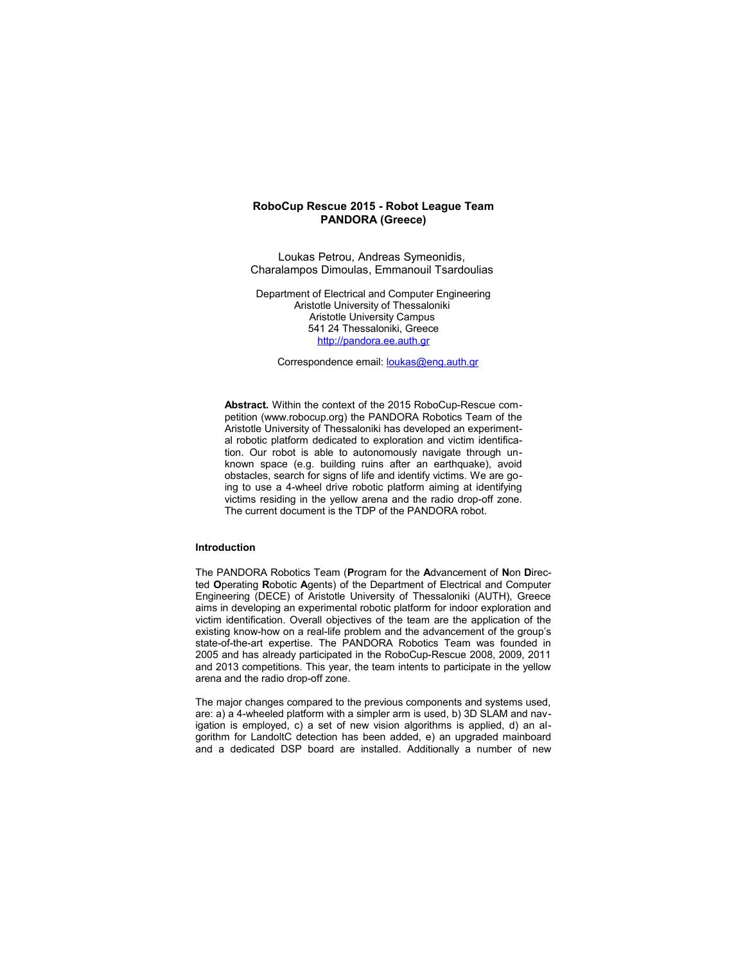# **RoboCup Rescue 2015 - Robot League Team PANDORA (Greece)**

Loukas Petrou, Andreas Symeonidis, Charalampos Dimoulas, Emmanouil Tsardoulias

Department of Electrical and Computer Engineering Aristotle University of Thessaloniki Aristotle University Campus 541 24 Thessaloniki, Greece http://pandora.ee.auth.gr

Correspondence email: **loukas@eng.auth.gr** 

**Abstract.** Within the context of the 2015 RoboCup-Rescue competition (www.robocup.org) the PANDORA Robotics Team of the Aristotle University of Thessaloniki has developed an experimental robotic platform dedicated to exploration and victim identification. Our robot is able to autonomously navigate through unknown space (e.g. building ruins after an earthquake), avoid obstacles, search for signs of life and identify victims. We are going to use a 4-wheel drive robotic platform aiming at identifying victims residing in the yellow arena and the radio drop-off zone. The current document is the TDP of the PANDORA robot.

# **Introduction**

The PANDORA Robotics Team (**P**rogram for the **A**dvancement of **N**on **D**irected **O**perating **R**obotic **A**gents) of the Department of Electrical and Computer Engineering (DECE) of Aristotle University of Thessaloniki (AUTH), Greece aims in developing an experimental robotic platform for indoor exploration and victim identification. Overall objectives of the team are the application of the existing know-how on a real-life problem and the advancement of the group's state-of-the-art expertise. The PANDORA Robotics Team was founded in 2005 and has already participated in the RoboCup-Rescue 2008, 2009, 2011 and 2013 competitions. This year, the team intents to participate in the yellow arena and the radio drop-off zone.

The major changes compared to the previous components and systems used, are: a) a 4-wheeled platform with a simpler arm is used, b) 3D SLAM and navigation is employed, c) a set of new vision algorithms is applied, d) an algorithm for LandoltC detection has been added, e) an upgraded mainboard and a dedicated DSP board are installed. Additionally a number of new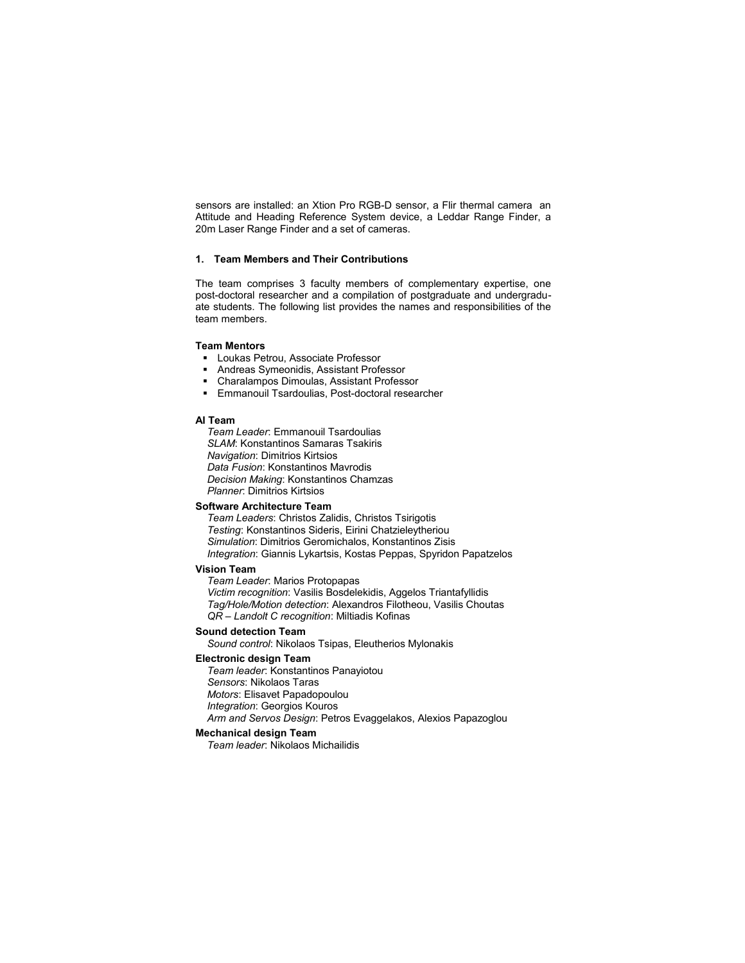sensors are installed: an Xtion Pro RGB-D sensor, a Flir thermal camera an Attitude and Heading Reference System device, a Leddar Range Finder, a 20m Laser Range Finder and a set of cameras.

# **1. Team Members and Their Contributions**

The team comprises 3 faculty members of complementary expertise, one post-doctoral researcher and a compilation of postgraduate and undergraduate students. The following list provides the names and responsibilities of the team members.

# **Team Mentors**

- **-** Loukas Petrou, Associate Professor
- **Andreas Symeonidis, Assistant Professor**
- Charalampos Dimoulas, Assistant Professor<br>■ Emmanouil Tsardoulias, Post-doctoral resea
- Emmanouil Tsardoulias, Post-doctoral researcher

# **AI Team**

*Team Leader*: Emmanouil Tsardoulias *SLAM*: Konstantinos Samaras Tsakiris *Navigation*: Dimitrios Kirtsios *Data Fusion*: Konstantinos Mavrodis *Decision Making*: Konstantinos Chamzas *Planner*: Dimitrios Kirtsios

# **Software Architecture Team**

*Team Leaders*: Christos Zalidis, Christos Tsirigotis *Testing*: Konstantinos Sideris, Eirini Chatzieleytheriou *Simulation*: Dimitrios Geromichalos, Konstantinos Zisis *Integration*: Giannis Lykartsis, Kostas Peppas, Spyridon Papatzelos

# **Vision Team**

*Team Leader*: Marios Protopapas *Victim recognition*: Vasilis Bosdelekidis, Aggelos Triantafyllidis *Tag/Hole/Motion detection*: Alexandros Filotheou, Vasilis Choutas *QR – Landolt C recognition*: Miltiadis Kofinas

### **Sound detection Team**

*Sound control*: Nikolaos Tsipas, Eleutherios Mylonakis

# **Electronic design Team**

*Team leader*: Konstantinos Panayiotou *Sensors*: Nikolaos Taras *Motors*: Elisavet Papadopoulou *Integration*: Georgios Kouros *Arm and Servos Design*: Petros Evaggelakos, Alexios Papazoglou

# **Mechanical design Team**

*Team leader*: Nikolaos Michailidis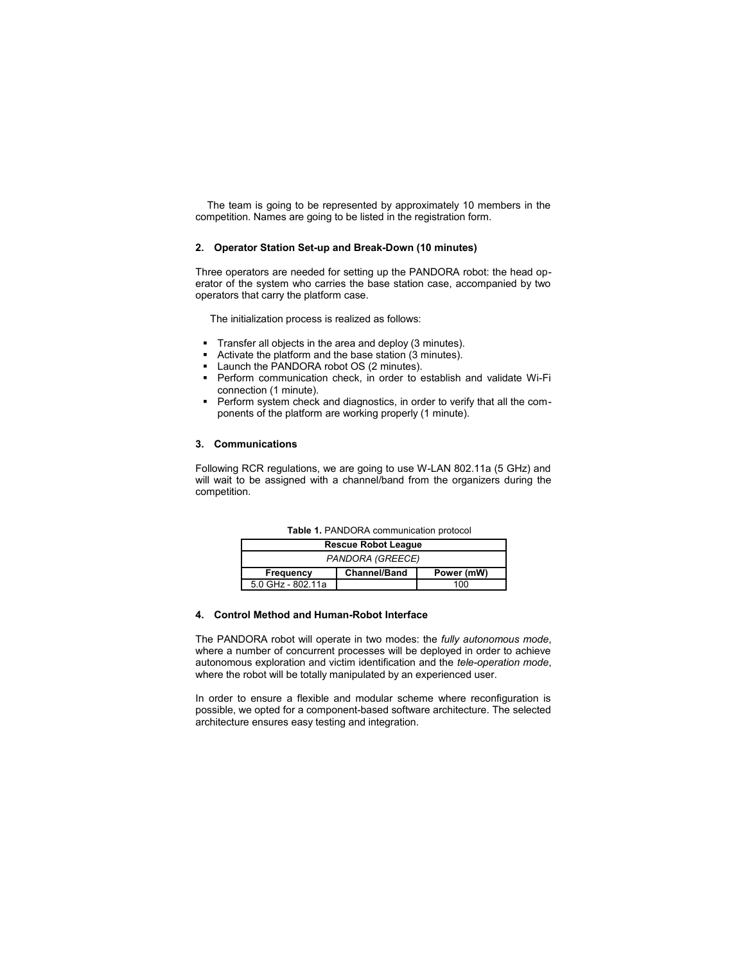The team is going to be represented by approximately 10 members in the competition. Names are going to be listed in the registration form.

# **2. Operator Station Set-up and Break-Down (10 minutes)**

Three operators are needed for setting up the PANDORA robot: the head operator of the system who carries the base station case, accompanied by two operators that carry the platform case.

The initialization process is realized as follows:

- **Transfer all objects in the area and deploy (3 minutes).**
- Activate the platform and the base station (3 minutes).
- Launch the PANDORA robot OS (2 minutes).
- Perform communication check, in order to establish and validate Wi-Fi connection (1 minute).
- Perform system check and diagnostics, in order to verify that all the components of the platform are working properly (1 minute).

# **3. Communications**

Following RCR regulations, we are going to use W-LAN 802.11a (5 GHz) and will wait to be assigned with a channel/band from the organizers during the competition.

| <b>Table 1. PANDORA communication protocol</b> |                     |            |  |  |  |  |
|------------------------------------------------|---------------------|------------|--|--|--|--|
| <b>Rescue Robot League</b>                     |                     |            |  |  |  |  |
| PANDORA (GREECE)                               |                     |            |  |  |  |  |
| Frequency                                      | <b>Channel/Band</b> | Power (mW) |  |  |  |  |
| 5.0 GHz - 802.11a                              |                     | 100        |  |  |  |  |

**Table 1.** PANDORA communication protocol

# **4. Control Method and Human-Robot Interface**

The PANDORA robot will operate in two modes: the *fully autonomous mode*, where a number of concurrent processes will be deployed in order to achieve autonomous exploration and victim identification and the *tele-operation mode*, where the robot will be totally manipulated by an experienced user.

In order to ensure a flexible and modular scheme where reconfiguration is possible, we opted for a component-based software architecture. The selected architecture ensures easy testing and integration.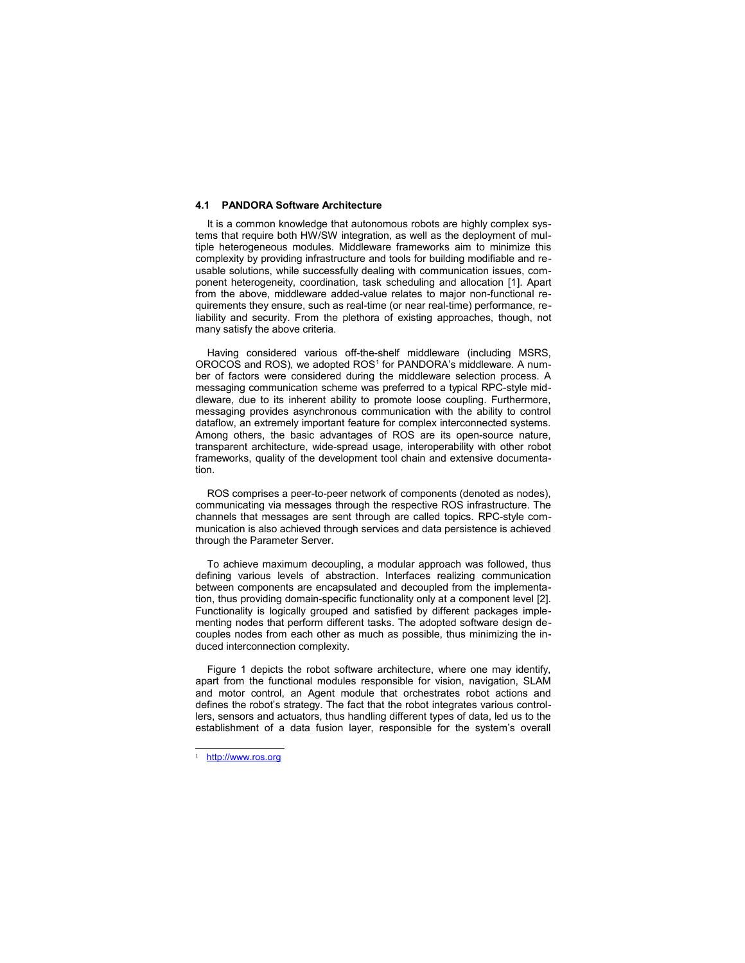#### **4.1 PANDORA Software Architecture**

It is a common knowledge that autonomous robots are highly complex systems that require both HW/SW integration, as well as the deployment of multiple heterogeneous modules. Middleware frameworks aim to minimize this complexity by providing infrastructure and tools for building modifiable and reusable solutions, while successfully dealing with communication issues, component heterogeneity, coordination, task scheduling and allocation [1]. Apart from the above, middleware added-value relates to major non-functional requirements they ensure, such as real-time (or near real-time) performance, reliability and security. From the plethora of existing approaches, though, not many satisfy the above criteria.

Having considered various off-the-shelf middleware (including MSRS, OROCOS and ROS), we adopted ROS<sup>1</sup> for PANDORA's middleware. A number of factors were considered during the middleware selection process. A messaging communication scheme was preferred to a typical RPC-style middleware, due to its inherent ability to promote loose coupling. Furthermore, messaging provides asynchronous communication with the ability to control dataflow, an extremely important feature for complex interconnected systems. Among others, the basic advantages of ROS are its open-source nature, transparent architecture, wide-spread usage, interoperability with other robot frameworks, quality of the development tool chain and extensive documentation.

ROS comprises a peer-to-peer network of components (denoted as nodes), communicating via messages through the respective ROS infrastructure. The channels that messages are sent through are called topics. RPC-style communication is also achieved through services and data persistence is achieved through the Parameter Server.

To achieve maximum decoupling, a modular approach was followed, thus defining various levels of abstraction. Interfaces realizing communication between components are encapsulated and decoupled from the implementation, thus providing domain-specific functionality only at a component level [2]. Functionality is logically grouped and satisfied by different packages implementing nodes that perform different tasks. The adopted software design decouples nodes from each other as much as possible, thus minimizing the induced interconnection complexity.

Figure 1 depicts the robot software architecture, where one may identify, apart from the functional modules responsible for vision, navigation, SLAM and motor control, an Agent module that orchestrates robot actions and defines the robot's strategy. The fact that the robot integrates various controllers, sensors and actuators, thus handling different types of data, led us to the establishment of a data fusion layer, responsible for the system's overall

http://www.ros.org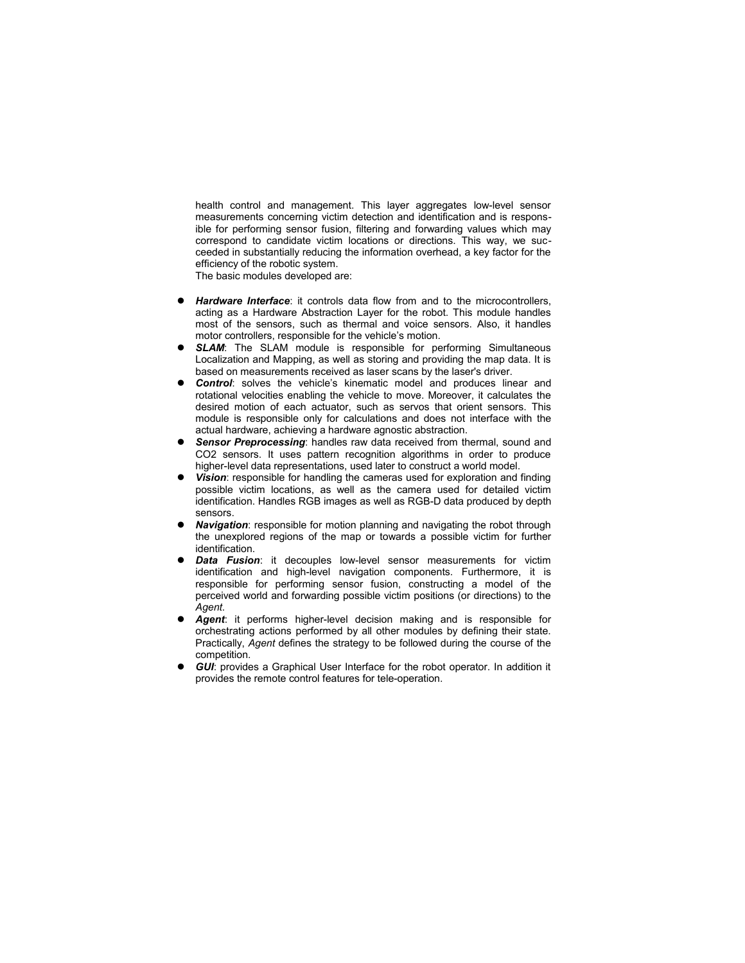health control and management. This layer aggregates low-level sensor measurements concerning victim detection and identification and is responsible for performing sensor fusion, filtering and forwarding values which may correspond to candidate victim locations or directions. This way, we succeeded in substantially reducing the information overhead, a key factor for the efficiency of the robotic system.

The basic modules developed are:

- *Hardware Interface*: it controls data flow from and to the microcontrollers, acting as a Hardware Abstraction Layer for the robot. This module handles most of the sensors, such as thermal and voice sensors. Also, it handles motor controllers, responsible for the vehicle's motion.
- **SLAM:** The SLAM module is responsible for performing Simultaneous Localization and Mapping, as well as storing and providing the map data. It is based on measurements received as laser scans by the laser's driver.
- **Control:** solves the vehicle's kinematic model and produces linear and rotational velocities enabling the vehicle to move. Moreover, it calculates the desired motion of each actuator, such as servos that orient sensors. This module is responsible only for calculations and does not interface with the actual hardware, achieving a hardware agnostic abstraction.
- *Sensor Preprocessing*: handles raw data received from thermal, sound and CO2 sensors. It uses pattern recognition algorithms in order to produce higher-level data representations, used later to construct a world model.
- *Vision*: responsible for handling the cameras used for exploration and finding possible victim locations, as well as the camera used for detailed victim identification. Handles RGB images as well as RGB-D data produced by depth sensors.
- *Navigation*: responsible for motion planning and navigating the robot through the unexplored regions of the map or towards a possible victim for further identification.
- *Data Fusion*: it decouples low-level sensor measurements for victim identification and high-level navigation components. Furthermore, it is responsible for performing sensor fusion, constructing a model of the perceived world and forwarding possible victim positions (or directions) to the *Agent*.
- *Agent*: it performs higher-level decision making and is responsible for orchestrating actions performed by all other modules by defining their state. Practically, *Agent* defines the strategy to be followed during the course of the competition.
- *GUI*: provides a Graphical User Interface for the robot operator. In addition it provides the remote control features for tele-operation.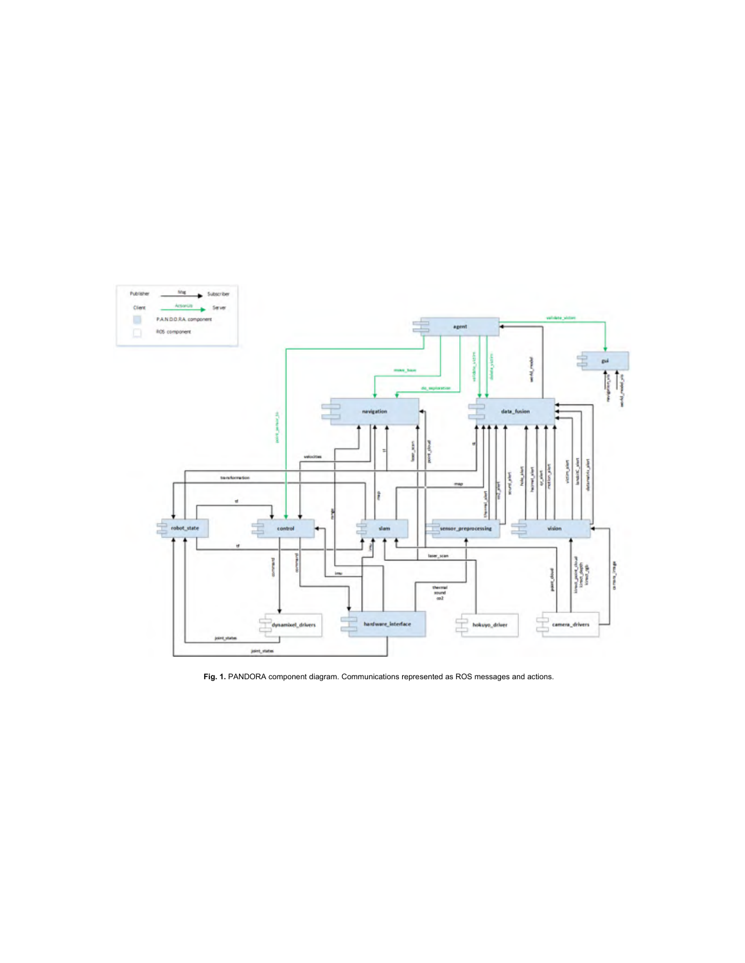

**Fig. 1.** PANDORA component diagram. Communications represented as ROS messages and actions.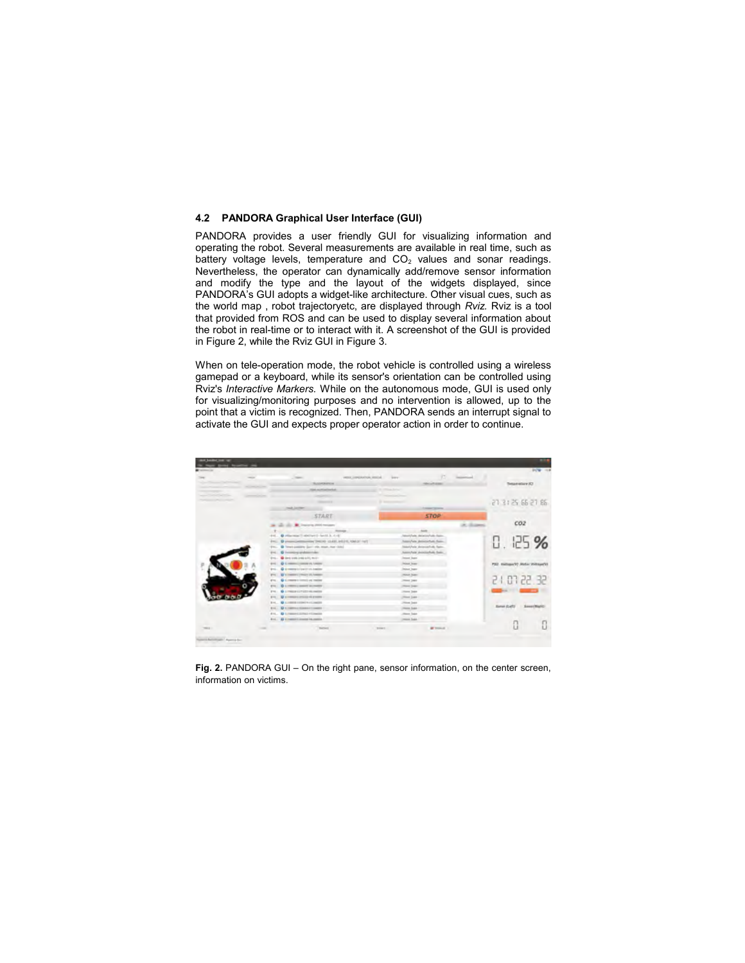# **4.2 PANDORA Graphical User Interface (GUI)**

PANDORA provides a user friendly GUI for visualizing information and operating the robot. Several measurements are available in real time, such as battery voltage levels, temperature and  $CO<sub>2</sub>$  values and sonar readings. Nevertheless, the operator can dynamically add/remove sensor information and modify the type and the layout of the widgets displayed, since PANDORA's GUI adopts a widget-like architecture. Other visual cues, such as the world map , robot trajectoryetc, are displayed through *Rviz.* Rviz is a tool that provided from ROS and can be used to display several information about the robot in real-time or to interact with it. A screenshot of the GUI is provided in Figure 2, while the Rviz GUI in Figure 3.

When on tele-operation mode, the robot vehicle is controlled using a wireless gamepad or a keyboard, while its sensor's orientation can be controlled using Rviz's *Interactive Markers.* While on the autonomous mode, GUI is used only for visualizing/monitoring purposes and no intervention is allowed, up to the point that a victim is recognized. Then, PANDORA sends an interrupt signal to activate the GUI and expects proper operator action in order to continue.

|              | $\frac{1}{2} \left( \frac{1}{2} \right) \left( \frac{1}{2} \right) \left( \frac{1}{2} \right)$ | $-$                                                              | 12<br>WOOLESPEAKTON, HIGHL - SHIPY         | <b>Second Co</b>                          |
|--------------|------------------------------------------------------------------------------------------------|------------------------------------------------------------------|--------------------------------------------|-------------------------------------------|
|              |                                                                                                | <b>BUSINESS IN</b>                                               | <b>HALLMARK</b>                            | Tetamelery SO                             |
|              |                                                                                                | <b>State and Printer Corp.</b>                                   | Contract Service                           |                                           |
|              |                                                                                                |                                                                  |                                            |                                           |
|              |                                                                                                |                                                                  |                                            | 21 31 25 66 21 86                         |
|              |                                                                                                | <b>TAXABLE CARDS</b>                                             | ---                                        |                                           |
|              |                                                                                                | <b>START</b>                                                     | <b>STOP</b>                                |                                           |
|              |                                                                                                | (2) all 1 M Departs 2000 houses                                  |                                            | CO2                                       |
|              |                                                                                                | <b>The America</b>                                               |                                            |                                           |
|              |                                                                                                | @ Hisconical Indelines [ - land), Jr. 4-41<br>$+4$               | Attack/Sale: Antwick/Sale-States           |                                           |
|              |                                                                                                | From 10 presentations and their or state, \$45.10, \$36.50 (a) } | home/hate photocochute face-               | 0.125%                                    |
|              |                                                                                                | Fre. B "trust positive day" win, man, mar (60c)                  | Material and all proposals and the factory |                                           |
|              |                                                                                                | (H. Gimmingspielmenter)                                          | Assess Park showing Role Room.             |                                           |
|              |                                                                                                | the Greenway and will                                            | James State                                |                                           |
|              |                                                                                                | 4. Helena Committee PL Annibus<br>$\circ$<br>eri.                | <b>Jeonat Jeans</b>                        | PSD Entimetric Ander Writings (V)         |
|              |                                                                                                | <b>Q</b> & memorial country on healthy<br><b>British</b>         | <b>Jessue lease</b>                        |                                           |
|              |                                                                                                | <b>FOR ASSESSMENT PRODUCTS FOR PARTIES</b>                       | most base                                  |                                           |
|              |                                                                                                | G 4 miles to tends at miles<br>ave.                              | <b>PRINT 24H</b>                           | 35.55 FD 1 5                              |
|              |                                                                                                | <b>EVA: @ A PROTO A DONATO ALCOHOLY</b>                          | (New year)                                 |                                           |
|              |                                                                                                | FR. D & PRODUCTS FOR HISTORY                                     | <b>John Sen</b>                            |                                           |
|              |                                                                                                | FOR  We are resonance at the six and six                         | China Sales                                |                                           |
|              |                                                                                                | <b>Brd. . @ LINSON LESSON CLIMBER</b>                            | <b>Jime Sen</b>                            |                                           |
|              |                                                                                                | R14  D 4. Helling Streets & Constitu-                            | <b>Home Super</b>                          | <b>Banan (LaRI)</b><br><b>Seegriffice</b> |
|              |                                                                                                | <b>414. @ Linkers Linker (Classics</b>                           | Jimm hard                                  |                                           |
|              |                                                                                                | <b>RIG. A CHARGE COMPANY</b>                                     | Denver Super                               |                                           |
| <b>THERE</b> |                                                                                                | <b>Televis</b>                                                   | <b>W Street 1</b><br><b>Bringer</b>        |                                           |

**Fig. 2.** PANDORA GUI – On the right pane, sensor information, on the center screen, information on victims.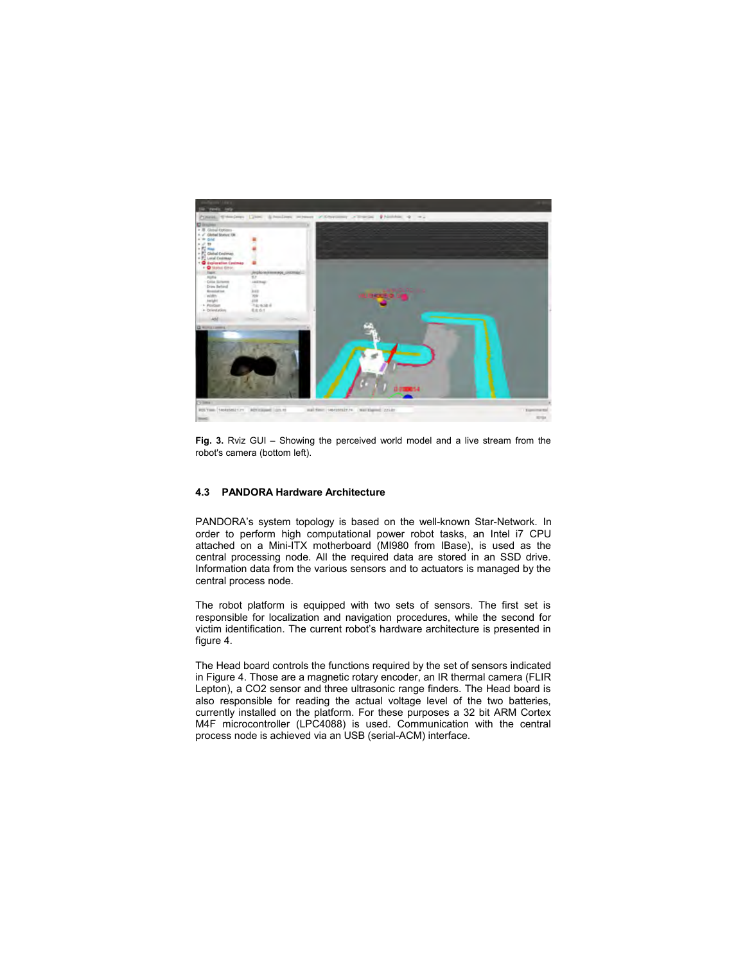

**Fig. 3.** Rviz GUI – Showing the perceived world model and a live stream from the robot's camera (bottom left).

# **4.3 PANDORA Hardware Architecture**

PANDORA's system topology is based on the well-known Star-Network. In order to perform high computational power robot tasks, an Intel i7 CPU attached on a Mini-ITX motherboard (MI980 from IBase), is used as the central processing node. All the required data are stored in an SSD drive. Information data from the various sensors and to actuators is managed by the central process node.

The robot platform is equipped with two sets of sensors. The first set is responsible for localization and navigation procedures, while the second for victim identification. The current robot's hardware architecture is presented in figure 4.

The Head board controls the functions required by the set of sensors indicated in Figure 4. Those are a magnetic rotary encoder, an IR thermal camera (FLIR Lepton), a CO2 sensor and three ultrasonic range finders. The Head board is also responsible for reading the actual voltage level of the two batteries, currently installed on the platform. For these purposes a 32 bit ARM Cortex M4F microcontroller (LPC4088) is used. Communication with the central process node is achieved via an USB (serial-ACM) interface.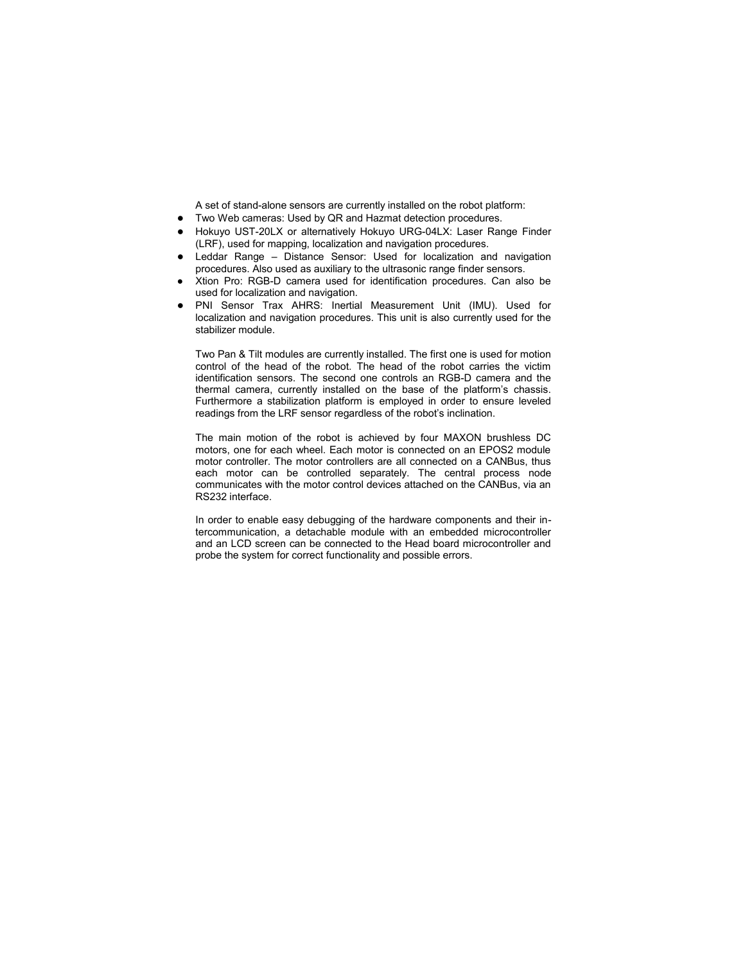A set of stand-alone sensors are currently installed on the robot platform:

- Two Web cameras: Used by QR and Hazmat detection procedures.
- Hokuyo UST-20LX or alternatively Hokuyo URG-04LX: Laser Range Finder (LRF), used for mapping, localization and navigation procedures.
- Leddar Range Distance Sensor: Used for localization and navigation procedures. Also used as auxiliary to the ultrasonic range finder sensors.
- Xtion Pro: RGB-D camera used for identification procedures. Can also be used for localization and navigation.
- PNI Sensor Trax AHRS: Inertial Measurement Unit (IMU). Used for localization and navigation procedures. This unit is also currently used for the stabilizer module.

Two Pan & Tilt modules are currently installed. The first one is used for motion control of the head of the robot. The head of the robot carries the victim identification sensors. The second one controls an RGB-D camera and the thermal camera, currently installed on the base of the platform's chassis. Furthermore a stabilization platform is employed in order to ensure leveled readings from the LRF sensor regardless of the robot's inclination.

The main motion of the robot is achieved by four MAXON brushless DC motors, one for each wheel. Each motor is connected on an EPOS2 module motor controller. The motor controllers are all connected on a CANBus, thus each motor can be controlled separately. The central process node communicates with the motor control devices attached on the CANBus, via an RS232 interface.

In order to enable easy debugging of the hardware components and their intercommunication, a detachable module with an embedded microcontroller and an LCD screen can be connected to the Head board microcontroller and probe the system for correct functionality and possible errors.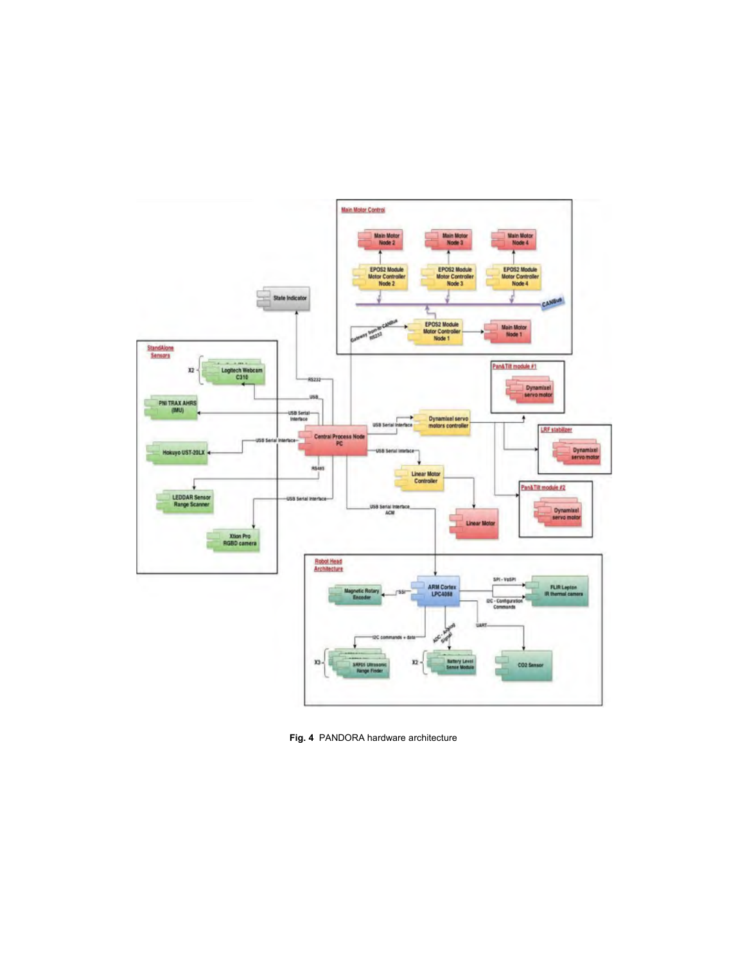

**Fig. 4** PANDORA hardware architecture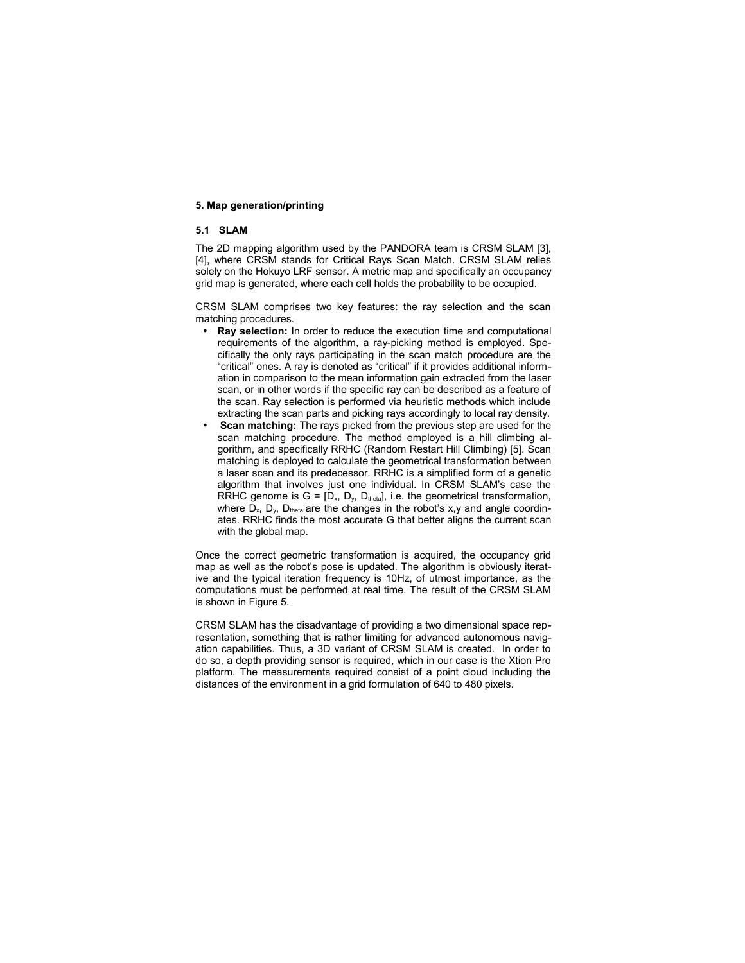### **5. Map generation/printing**

# **5.1 SLAM**

The 2D mapping algorithm used by the PANDORA team is CRSM SLAM [3], [4], where CRSM stands for Critical Rays Scan Match. CRSM SLAM relies solely on the Hokuyo LRF sensor. A metric map and specifically an occupancy grid map is generated, where each cell holds the probability to be occupied.

CRSM SLAM comprises two key features: the ray selection and the scan matching procedures.

- **Ray selection:** In order to reduce the execution time and computational requirements of the algorithm, a ray-picking method is employed. Specifically the only rays participating in the scan match procedure are the "critical" ones. A ray is denoted as "critical" if it provides additional information in comparison to the mean information gain extracted from the laser scan, or in other words if the specific ray can be described as a feature of the scan. Ray selection is performed via heuristic methods which include extracting the scan parts and picking rays accordingly to local ray density.
- **Scan matching:** The rays picked from the previous step are used for the scan matching procedure. The method employed is a hill climbing algorithm, and specifically RRHC (Random Restart Hill Climbing) [5]. Scan matching is deployed to calculate the geometrical transformation between a laser scan and its predecessor. RRHC is a simplified form of a genetic algorithm that involves just one individual. In CRSM SLAM's case the RRHC genome is  $G = [D_x, D_y, D_{\text{theta}}]$ , i.e. the geometrical transformation, where  $D_x$ ,  $D_y$ ,  $D_{theta}$  are the changes in the robot's x,y and angle coordinates. RRHC finds the most accurate G that better aligns the current scan with the global map.

Once the correct geometric transformation is acquired, the occupancy grid map as well as the robot's pose is updated. The algorithm is obviously iterative and the typical iteration frequency is 10Hz, of utmost importance, as the computations must be performed at real time. The result of the CRSM SLAM is shown in Figure 5.

CRSM SLAM has the disadvantage of providing a two dimensional space representation, something that is rather limiting for advanced autonomous navigation capabilities. Thus, a 3D variant of CRSM SLAM is created. In order to do so, a depth providing sensor is required, which in our case is the Xtion Pro platform. The measurements required consist of a point cloud including the distances of the environment in a grid formulation of 640 to 480 pixels.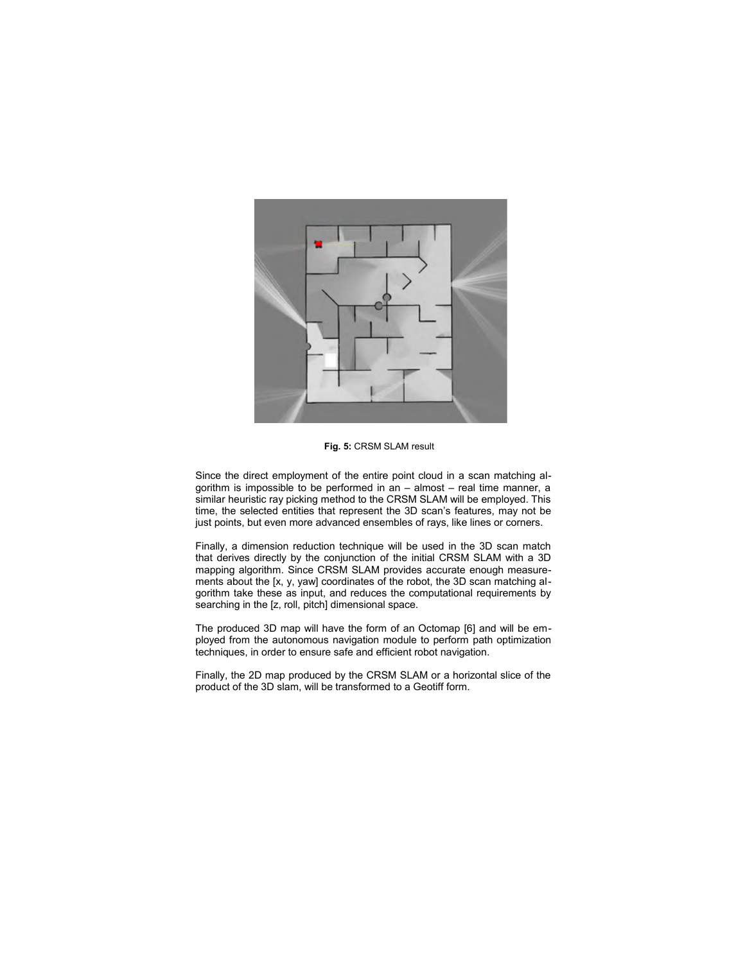

**Fig. 5:** CRSM SLAM result

Since the direct employment of the entire point cloud in a scan matching algorithm is impossible to be performed in an – almost – real time manner, a similar heuristic ray picking method to the CRSM SLAM will be employed. This time, the selected entities that represent the 3D scan's features, may not be just points, but even more advanced ensembles of rays, like lines or corners.

Finally, a dimension reduction technique will be used in the 3D scan match that derives directly by the conjunction of the initial CRSM SLAM with a 3D mapping algorithm. Since CRSM SLAM provides accurate enough measurements about the [x, y, yaw] coordinates of the robot, the 3D scan matching algorithm take these as input, and reduces the computational requirements by searching in the [z, roll, pitch] dimensional space.

The produced 3D map will have the form of an Octomap [6] and will be employed from the autonomous navigation module to perform path optimization techniques, in order to ensure safe and efficient robot navigation.

Finally, the 2D map produced by the CRSM SLAM or a horizontal slice of the product of the 3D slam, will be transformed to a Geotiff form.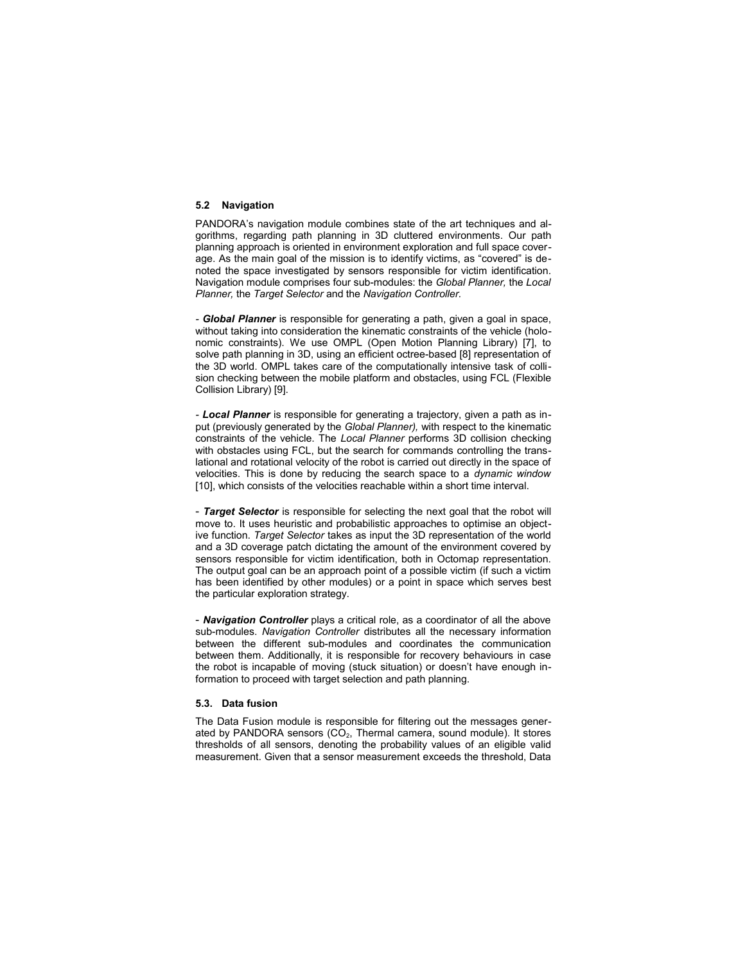### **5.2 Navigation**

PANDORA's navigation module combines state of the art techniques and algorithms, regarding path planning in 3D cluttered environments. Our path planning approach is oriented in environment exploration and full space coverage. As the main goal of the mission is to identify victims, as "covered" is denoted the space investigated by sensors responsible for victim identification. Navigation module comprises four sub-modules: the *Global Planner,* the *Local Planner,* the *Target Selector* and the *Navigation Controller.*

*- Global Planner* is responsible for generating a path, given a goal in space, without taking into consideration the kinematic constraints of the vehicle (holonomic constraints). We use OMPL (Open Motion Planning Library) [7], to solve path planning in 3D, using an efficient octree-based [8] representation of the 3D world. OMPL takes care of the computationally intensive task of collision checking between the mobile platform and obstacles, using FCL (Flexible Collision Library) [9].

*- Local Planner* is responsible for generating a trajectory, given a path as input (previously generated by the *Global Planner),* with respect to the kinematic constraints of the vehicle. The *Local Planner* performs 3D collision checking with obstacles using FCL, but the search for commands controlling the translational and rotational velocity of the robot is carried out directly in the space of velocities. This is done by reducing the search space to a *dynamic window* [10], which consists of the velocities reachable within a short time interval.

- *Target Selector* is responsible for selecting the next goal that the robot will move to. It uses heuristic and probabilistic approaches to optimise an objective function. *Target Selector* takes as input the 3D representation of the world and a 3D coverage patch dictating the amount of the environment covered by sensors responsible for victim identification, both in Octomap representation. The output goal can be an approach point of a possible victim (if such a victim has been identified by other modules) or a point in space which serves best the particular exploration strategy.

- *Navigation Controller* plays a critical role, as a coordinator of all the above sub-modules. *Navigation Controller* distributes all the necessary information between the different sub-modules and coordinates the communication between them. Additionally, it is responsible for recovery behaviours in case the robot is incapable of moving (stuck situation) or doesn't have enough information to proceed with target selection and path planning.

# **5.3. Data fusion**

The Data Fusion module is responsible for filtering out the messages generated by PANDORA sensors  $(CO_2,$  Thermal camera, sound module). It stores thresholds of all sensors, denoting the probability values of an eligible valid measurement. Given that a sensor measurement exceeds the threshold, Data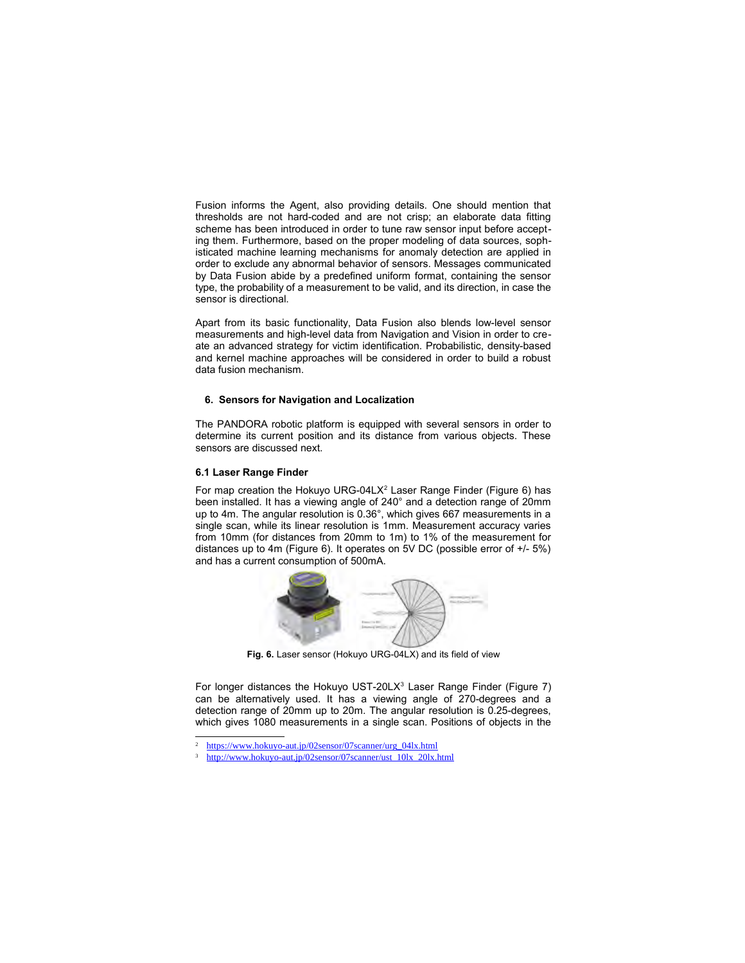Fusion informs the Agent, also providing details. One should mention that thresholds are not hard-coded and are not crisp; an elaborate data fitting scheme has been introduced in order to tune raw sensor input before accepting them. Furthermore, based on the proper modeling of data sources, sophisticated machine learning mechanisms for anomaly detection are applied in order to exclude any abnormal behavior of sensors. Messages communicated by Data Fusion abide by a predefined uniform format, containing the sensor type, the probability of a measurement to be valid, and its direction, in case the sensor is directional.

Apart from its basic functionality, Data Fusion also blends low-level sensor measurements and high-level data from Navigation and Vision in order to create an advanced strategy for victim identification. Probabilistic, density-based and kernel machine approaches will be considered in order to build a robust data fusion mechanism.

# **6. Sensors for Navigation and Localization**

The PANDORA robotic platform is equipped with several sensors in order to determine its current position and its distance from various objects. These sensors are discussed next.

# **6.1 Laser Range Finder**

For map creation the Hokuyo URG-04LX<sup>2</sup> Laser Range Finder (Figure 6) has been installed. It has a viewing angle of 240° and a detection range of 20mm up to 4m. The angular resolution is 0.36°, which gives 667 measurements in a single scan, while its linear resolution is 1mm. Measurement accuracy varies from 10mm (for distances from 20mm to 1m) to 1% of the measurement for distances up to 4m (Figure 6). It operates on 5V DC (possible error of +/- 5%) and has a current consumption of 500mA.



**Fig. 6.** Laser sensor (Hokuyo URG-04LX) and its field of view

For longer distances the Hokuyo UST-20LX<sup>3</sup> Laser Range Finder (Figure 7) can be alternatively used. It has a viewing angle of 270-degrees and a detection range of 20mm up to 20m. The angular resolution is 0.25-degrees, which gives 1080 measurements in a single scan. Positions of objects in the

https://www.hokuyo-aut.jp/02sensor/07scanner/urg\_04lx.html

<sup>3</sup> http://www.hokuyo-aut.jp/02sensor/07scanner/ust\_10lx\_20lx.html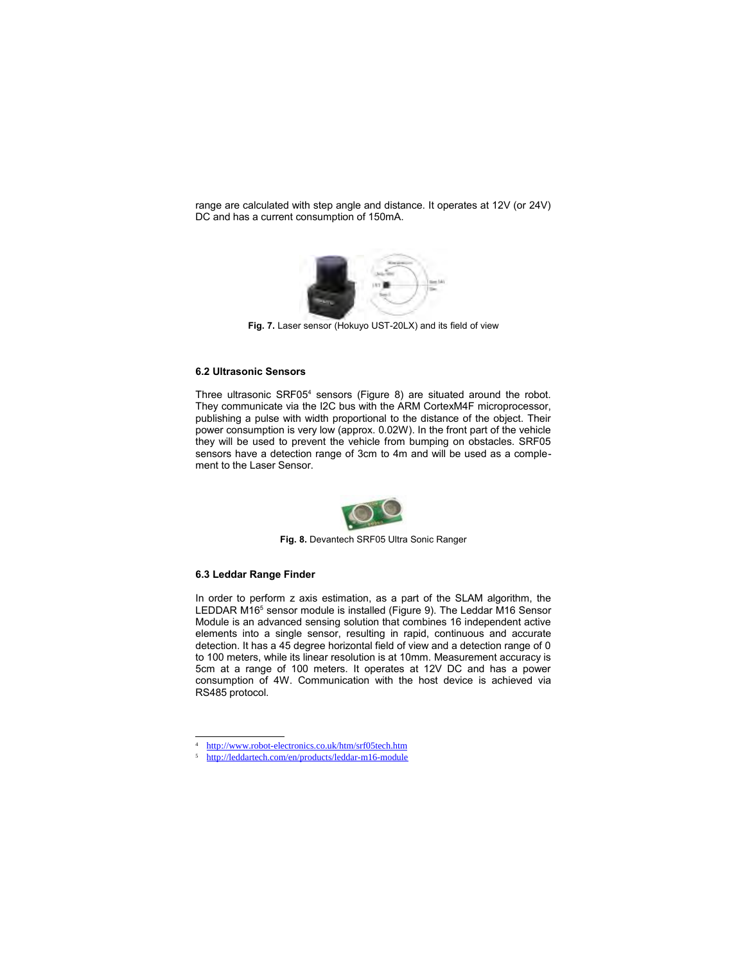range are calculated with step angle and distance. It operates at 12V (or 24V) DC and has a current consumption of 150mA.



**Fig. 7.** Laser sensor (Hokuyo UST-20LX) and its field of view

#### **6.2 Ultrasonic Sensors**

Three ultrasonic SRF05<sup>4</sup> sensors (Figure 8) are situated around the robot. They communicate via the I2C bus with the ARM CortexM4F microprocessor, publishing a pulse with width proportional to the distance of the object. Their power consumption is very low (approx. 0.02W). In the front part of the vehicle they will be used to prevent the vehicle from bumping on obstacles. SRF05 sensors have a detection range of 3cm to 4m and will be used as a complement to the Laser Sensor.



**Fig. 8.** Devantech SRF05 Ultra Sonic Ranger

### **6.3 Leddar Range Finder**

In order to perform z axis estimation, as a part of the SLAM algorithm, the LEDDAR M16<sup>5</sup> sensor module is installed (Figure 9). The Leddar M16 Sensor Module is an advanced sensing solution that combines 16 independent active elements into a single sensor, resulting in rapid, continuous and accurate detection. It has a 45 degree horizontal field of view and a detection range of 0 to 100 meters, while its linear resolution is at 10mm. Measurement accuracy is 5cm at a range of 100 meters. It operates at 12V DC and has a power consumption of 4W. Communication with the host device is achieved via RS485 protocol.

<sup>4</sup> http://www.robot-electronics.co.uk/htm/srf05tech.htm

<sup>5</sup> http://leddartech.com/en/products/leddar-m16-module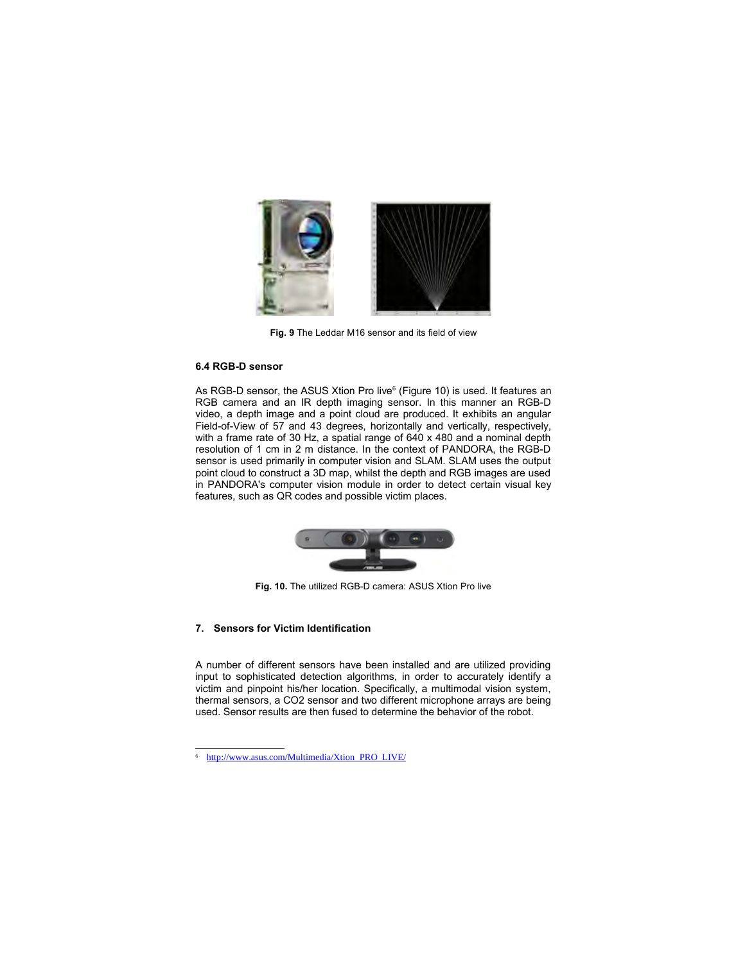

**Fig. 9** The Leddar M16 sensor and its field of view

# **6.4 RGB-D sensor**

As RGB-D sensor, the ASUS Xtion Pro live<sup>6</sup> (Figure 10) is used. It features an RGB camera and an IR depth imaging sensor. In this manner an RGB-D video, a depth image and a point cloud are produced. It exhibits an angular Field-of-View of 57 and 43 degrees, horizontally and vertically, respectively, with a frame rate of 30 Hz, a spatial range of 640 x 480 and a nominal depth resolution of 1 cm in 2 m distance. In the context of PANDORA, the RGB-D sensor is used primarily in computer vision and SLAM. SLAM uses the output point cloud to construct a 3D map, whilst the depth and RGB images are used in PANDORA's computer vision module in order to detect certain visual key features, such as QR codes and possible victim places.



**Fig. 10.** The utilized RGB-D camera: ASUS Xtion Pro live

# **7. Sensors for Victim Identification**

A number of different sensors have been installed and are utilized providing input to sophisticated detection algorithms, in order to accurately identify a victim and pinpoint his/her location. Specifically, a multimodal vision system, thermal sensors, a CO2 sensor and two different microphone arrays are being used. Sensor results are then fused to determine the behavior of the robot.

http://www.asus.com/Multimedia/Xtion\_PRO\_LIVE/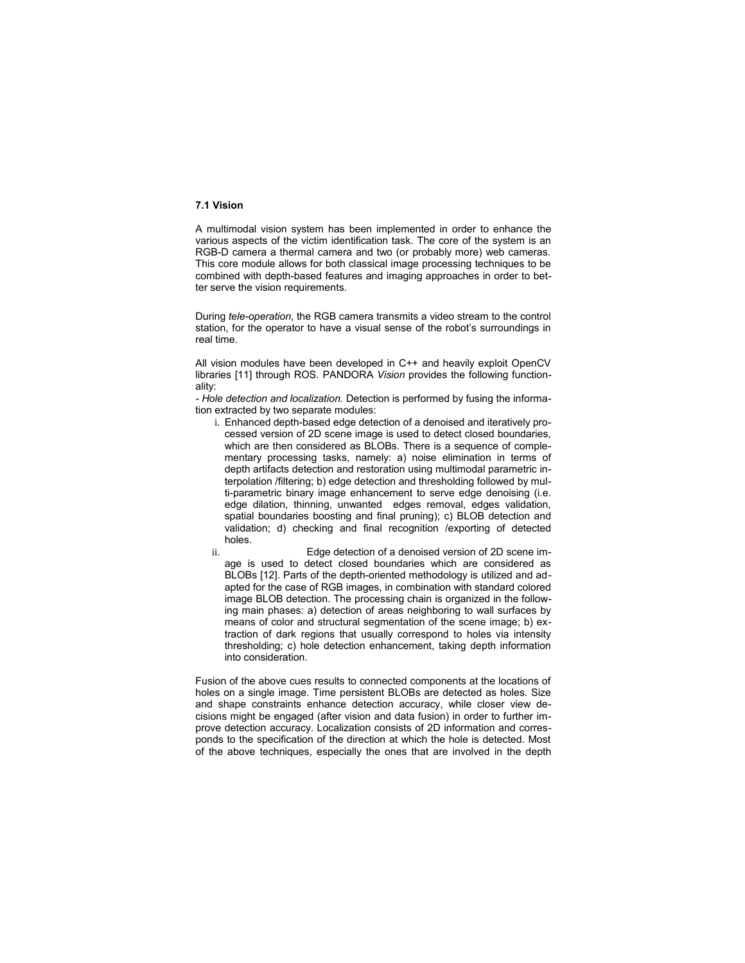### **7.1 Vision**

A multimodal vision system has been implemented in order to enhance the various aspects of the victim identification task. The core of the system is an RGB-D camera a thermal camera and two (or probably more) web cameras. This core module allows for both classical image processing techniques to be combined with depth-based features and imaging approaches in order to better serve the vision requirements.

During *tele-operation*, the RGB camera transmits a video stream to the control station, for the operator to have a visual sense of the robot's surroundings in real time.

All vision modules have been developed in C++ and heavily exploit OpenCV libraries [11] through ROS. PANDORA *Vision* provides the following functionality:

*- Hole detection and localization.* Detection is performed by fusing the information extracted by two separate modules:

- i. Enhanced depth-based edge detection of a denoised and iteratively processed version of 2D scene image is used to detect closed boundaries, which are then considered as BLOBs. There is a sequence of complementary processing tasks, namely: a) noise elimination in terms of depth artifacts detection and restoration using multimodal parametric interpolation /filtering; b) edge detection and thresholding followed by multi-parametric binary image enhancement to serve edge denoising (i.e. edge dilation, thinning, unwanted edges removal, edges validation, spatial boundaries boosting and final pruning); c) BLOB detection and validation; d) checking and final recognition /exporting of detected holes.
- ii. Edge detection of a denoised version of 2D scene image is used to detect closed boundaries which are considered as BLOBs [12]. Parts of the depth-oriented methodology is utilized and adapted for the case of RGB images, in combination with standard colored image BLOB detection. The processing chain is organized in the following main phases: a) detection of areas neighboring to wall surfaces by means of color and structural segmentation of the scene image; b) extraction of dark regions that usually correspond to holes via intensity thresholding; c) hole detection enhancement, taking depth information into consideration.

Fusion of the above cues results to connected components at the locations of holes on a single image. Time persistent BLOBs are detected as holes. Size and shape constraints enhance detection accuracy, while closer view decisions might be engaged (after vision and data fusion) in order to further improve detection accuracy. Localization consists of 2D information and corresponds to the specification of the direction at which the hole is detected. Most of the above techniques, especially the ones that are involved in the depth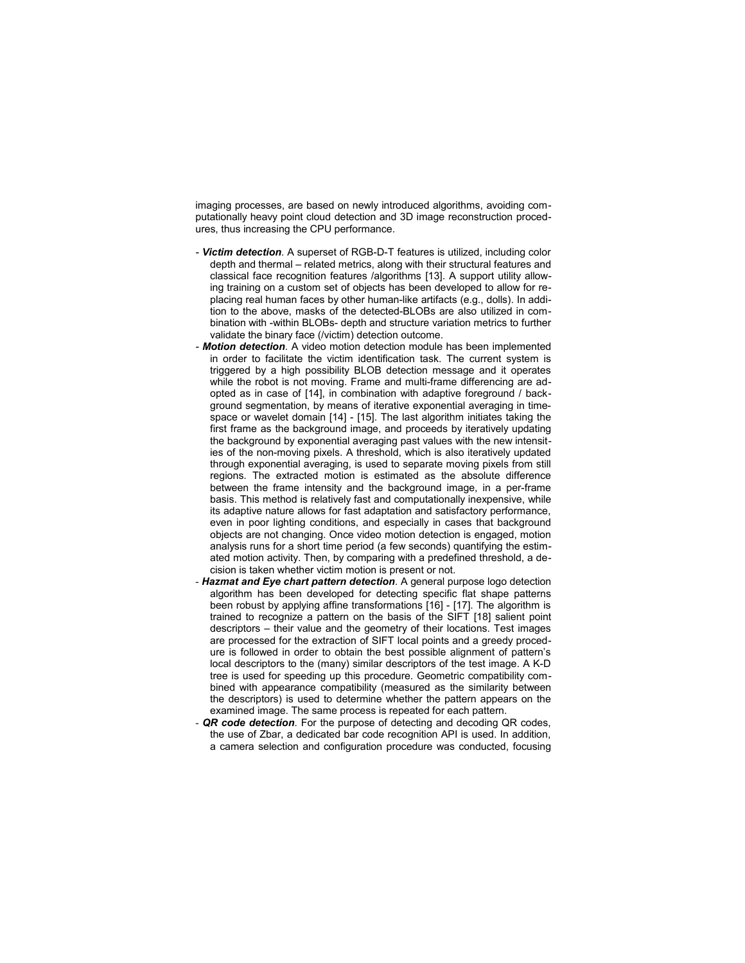imaging processes, are based on newly introduced algorithms, avoiding computationally heavy point cloud detection and 3D image reconstruction procedures, thus increasing the CPU performance.

- *Victim detection.* A superset of RGB-D-T features is utilized, including color depth and thermal – related metrics, along with their structural features and classical face recognition features /algorithms [13]. A support utility allowing training on a custom set of objects has been developed to allow for replacing real human faces by other human-like artifacts (e.g., dolls). In addition to the above, masks of the detected-BLOBs are also utilized in combination with -within BLOBs- depth and structure variation metrics to further validate the binary face (/victim) detection outcome.
- *Motion detection.* A video motion detection module has been implemented in order to facilitate the victim identification task. The current system is triggered by a high possibility BLOB detection message and it operates while the robot is not moving. Frame and multi-frame differencing are adopted as in case of [14], in combination with adaptive foreground / background segmentation, by means of iterative exponential averaging in timespace or wavelet domain [14] - [15]. The last algorithm initiates taking the first frame as the background image, and proceeds by iteratively updating the background by exponential averaging past values with the new intensities of the non-moving pixels. A threshold, which is also iteratively updated through exponential averaging, is used to separate moving pixels from still regions. The extracted motion is estimated as the absolute difference between the frame intensity and the background image, in a per-frame basis. This method is relatively fast and computationally inexpensive, while its adaptive nature allows for fast adaptation and satisfactory performance, even in poor lighting conditions, and especially in cases that background objects are not changing. Once video motion detection is engaged, motion analysis runs for a short time period (a few seconds) quantifying the estimated motion activity. Then, by comparing with a predefined threshold, a decision is taken whether victim motion is present or not.
- *Hazmat and Eye chart pattern detection.* A general purpose logo detection algorithm has been developed for detecting specific flat shape patterns been robust by applying affine transformations [16] - [17]. The algorithm is trained to recognize a pattern on the basis of the SIFT [18] salient point descriptors – their value and the geometry of their locations. Test images are processed for the extraction of SIFT local points and a greedy procedure is followed in order to obtain the best possible alignment of pattern's local descriptors to the (many) similar descriptors of the test image. A K-D tree is used for speeding up this procedure. Geometric compatibility combined with appearance compatibility (measured as the similarity between the descriptors) is used to determine whether the pattern appears on the examined image. The same process is repeated for each pattern.
- **QR code detection**. For the purpose of detecting and decoding QR codes, the use of Zbar, a dedicated bar code recognition API is used. In addition, a camera selection and configuration procedure was conducted, focusing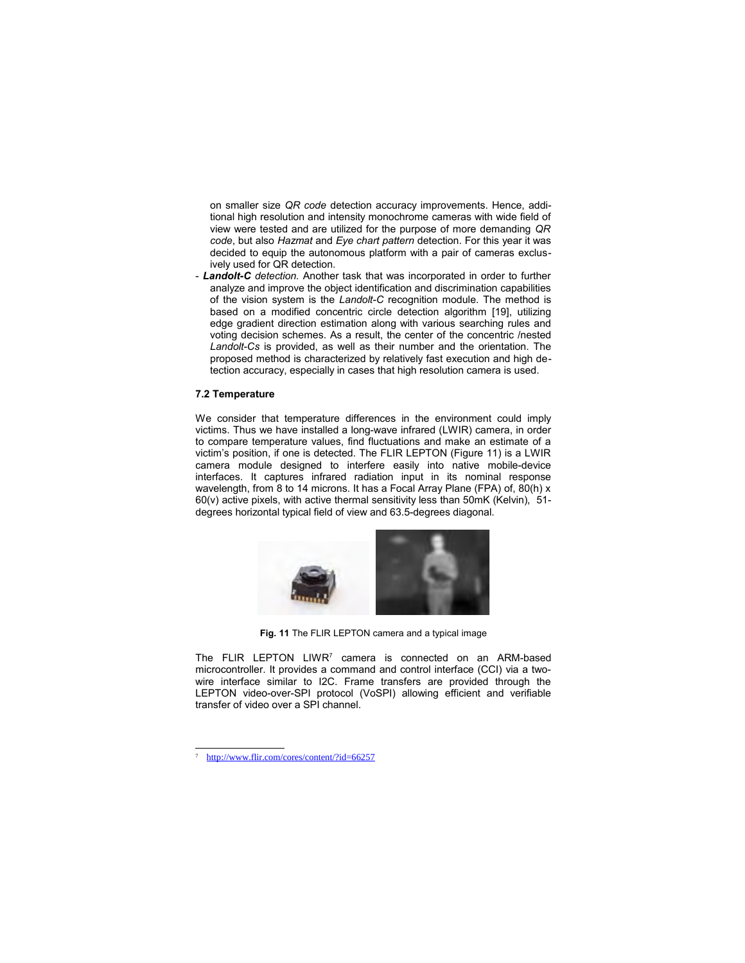on smaller size *QR code* detection accuracy improvements. Hence, additional high resolution and intensity monochrome cameras with wide field of view were tested and are utilized for the purpose of more demanding *QR code*, but also *Hazmat* and *Eye chart pattern* detection. For this year it was decided to equip the autonomous platform with a pair of cameras exclusively used for QR detection.

- *Landolt-C detection.* Another task that was incorporated in order to further analyze and improve the object identification and discrimination capabilities of the vision system is the *Landolt-C* recognition module. The method is based on a modified concentric circle detection algorithm [19], utilizing edge gradient direction estimation along with various searching rules and voting decision schemes. As a result, the center of the concentric /nested *Landolt-Cs* is provided, as well as their number and the orientation. The proposed method is characterized by relatively fast execution and high detection accuracy, especially in cases that high resolution camera is used.

### **7.2 Temperature**

We consider that temperature differences in the environment could imply victims. Thus we have installed a long-wave infrared (LWIR) camera, in order to compare temperature values, find fluctuations and make an estimate of a victim's position, if one is detected. The FLIR LEPTON (Figure 11) is a LWIR camera module designed to interfere easily into native mobile-device interfaces. It captures infrared radiation input in its nominal response wavelength, from 8 to 14 microns. It has a Focal Array Plane (FPA) of, 80(h) x 60(v) active pixels, with active thermal sensitivity less than 50mK (Kelvin), 51 degrees horizontal typical field of view and 63.5-degrees diagonal.



**Fig. 11** The FLIR LEPTON camera and a typical image

The FLIR LEPTON LIWR<sup>7</sup> camera is connected on an ARM-based microcontroller. It provides a command and control interface (CCI) via a twowire interface similar to I2C. Frame transfers are provided through the LEPTON video-over-SPI protocol (VoSPI) allowing efficient and verifiable transfer of video over a SPI channel.

http://www.flir.com/cores/content/?id=66257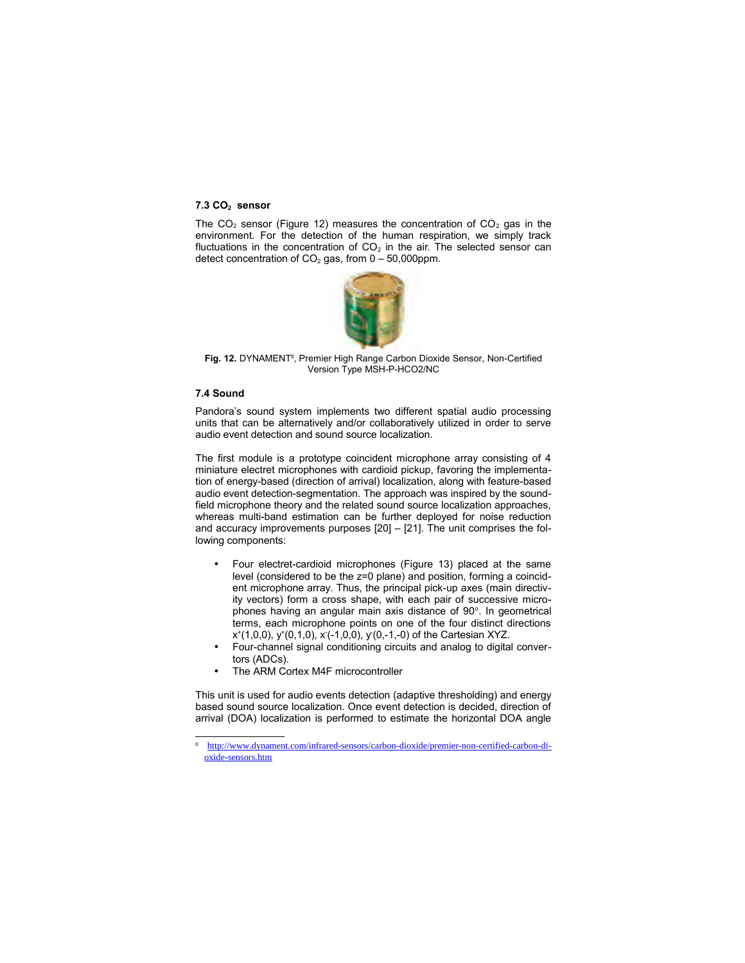#### **7.3 CO2 sensor**

The  $CO<sub>2</sub>$  sensor (Figure 12) measures the concentration of  $CO<sub>2</sub>$  gas in the environment. For the detection of the human respiration, we simply track fluctuations in the concentration of  $CO<sub>2</sub>$  in the air. The selected sensor can detect concentration of  $CO<sub>2</sub>$  gas, from  $0 - 50,000$ ppm.



Fig. 12. DYNAMENT<sup>8</sup>, Premier High Range Carbon Dioxide Sensor, Non-Certified Version Type MSH-P-HCO2/NC

# **7.4 Sound**

Pandora's sound system implements two different spatial audio processing units that can be alternatively and/or collaboratively utilized in order to serve audio event detection and sound source localization.

The first module is a prototype coincident microphone array consisting of 4 miniature electret microphones with cardioid pickup, favoring the implementation of energy-based (direction of arrival) localization, along with feature-based audio event detection-segmentation. The approach was inspired by the soundfield microphone theory and the related sound source localization approaches, whereas multi-band estimation can be further deployed for noise reduction and accuracy improvements purposes [20] – [21]. The unit comprises the following components:

- Four electret-cardioid microphones (Figure 13) placed at the same level (considered to be the z=0 plane) and position, forming a coincident microphone array. Thus, the principal pick-up axes (main directivity vectors) form a cross shape, with each pair of successive microphones having an angular main axis distance of 90°. In geometrical terms, each microphone points on one of the four distinct directions  $x^+(1,0,0)$ ,  $y^+(0,1,0)$ ,  $x(-1,0,0)$ ,  $y(0,-1,-0)$  of the Cartesian XYZ.
- Four-channel signal conditioning circuits and analog to digital convertors (ADCs).
- The ARM Cortex M4F microcontroller

This unit is used for audio events detection (adaptive thresholding) and energy based sound source localization. Once event detection is decided, direction of arrival (DOA) localization is performed to estimate the horizontal DOA angle

<sup>8</sup> http://www.dynament.com/infrared-sensors/carbon-dioxide/premier-non-certified-carbon-dioxide-sensors.htm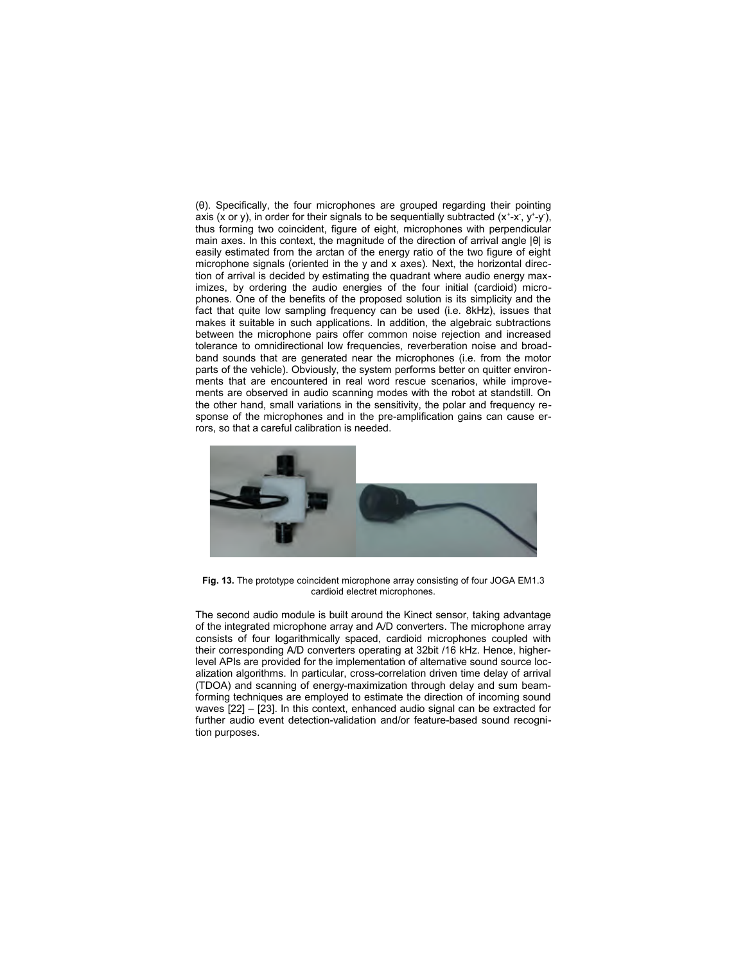(θ). Specifically, the four microphones are grouped regarding their pointing axis (x or y), in order for their signals to be sequentially subtracted  $(x^+ - x, y^+ - y)$ , thus forming two coincident, figure of eight, microphones with perpendicular main axes. In this context, the magnitude of the direction of arrival angle |θ| is easily estimated from the arctan of the energy ratio of the two figure of eight microphone signals (oriented in the y and x axes). Next, the horizontal direction of arrival is decided by estimating the quadrant where audio energy maximizes, by ordering the audio energies of the four initial (cardioid) microphones. One of the benefits of the proposed solution is its simplicity and the fact that quite low sampling frequency can be used (i.e. 8kHz), issues that makes it suitable in such applications. In addition, the algebraic subtractions between the microphone pairs offer common noise rejection and increased tolerance to omnidirectional low frequencies, reverberation noise and broadband sounds that are generated near the microphones (i.e. from the motor parts of the vehicle). Obviously, the system performs better on quitter environments that are encountered in real word rescue scenarios, while improvements are observed in audio scanning modes with the robot at standstill. On the other hand, small variations in the sensitivity, the polar and frequency response of the microphones and in the pre-amplification gains can cause errors, so that a careful calibration is needed.



**Fig. 13.** The prototype coincident microphone array consisting of four JOGA EM1.3 cardioid electret microphones.

The second audio module is built around the Kinect sensor, taking advantage of the integrated microphone array and A/D converters. The microphone array consists of four logarithmically spaced, cardioid microphones coupled with their corresponding A/D converters operating at 32bit /16 kHz. Hence, higherlevel APIs are provided for the implementation of alternative sound source localization algorithms. In particular, cross-correlation driven time delay of arrival (TDOA) and scanning of energy-maximization through delay and sum beamforming techniques are employed to estimate the direction of incoming sound waves [22] – [23]. In this context, enhanced audio signal can be extracted for further audio event detection-validation and/or feature-based sound recognition purposes.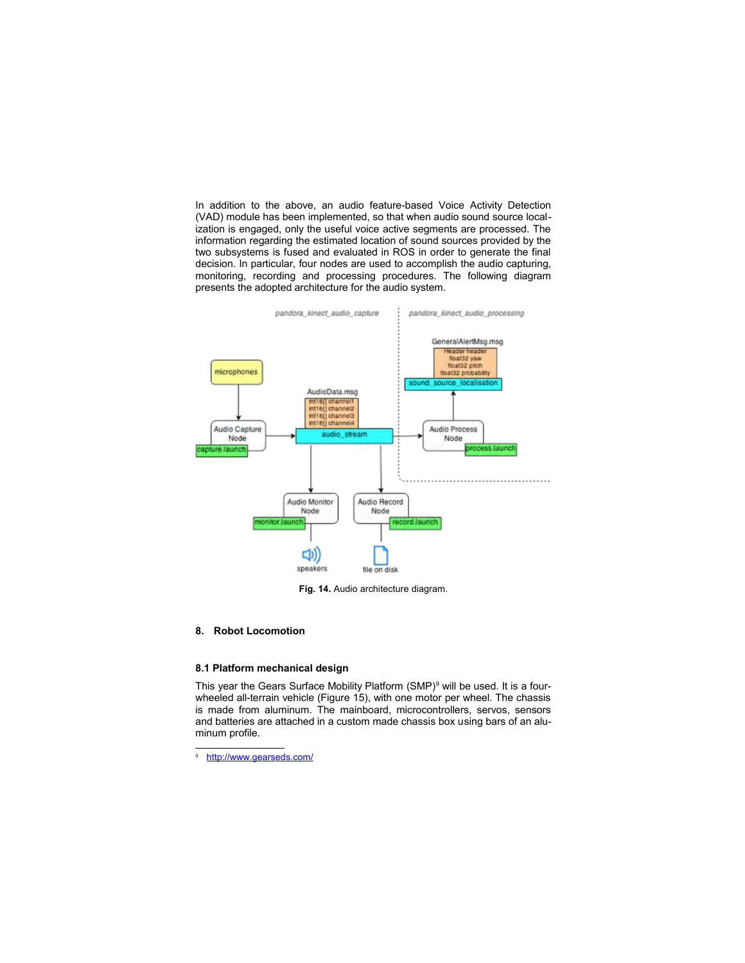In addition to the above, an audio feature-based Voice Activity Detection (VAD) module has been implemented, so that when audio sound source localization is engaged, only the useful voice active segments are processed. The information regarding the estimated location of sound sources provided by the two subsystems is fused and evaluated in ROS in order to generate the final decision. In particular, four nodes are used to accomplish the audio capturing, monitoring, recording and processing procedures. The following diagram presents the adopted architecture for the audio system.



**Fig. 14.** Audio architecture diagram.

#### **8. Robot Locomotion**

# **8.1 Platform mechanical design**

This year the Gears Surface Mobility Platform  $(SMP)^9$  will be used. It is a fourwheeled all-terrain vehicle (Figure 15), with one motor per wheel. The chassis is made from aluminum. The mainboard, microcontrollers, servos, sensors and batteries are attached in a custom made chassis box using bars of an aluminum profile.

http://www.gearseds.com/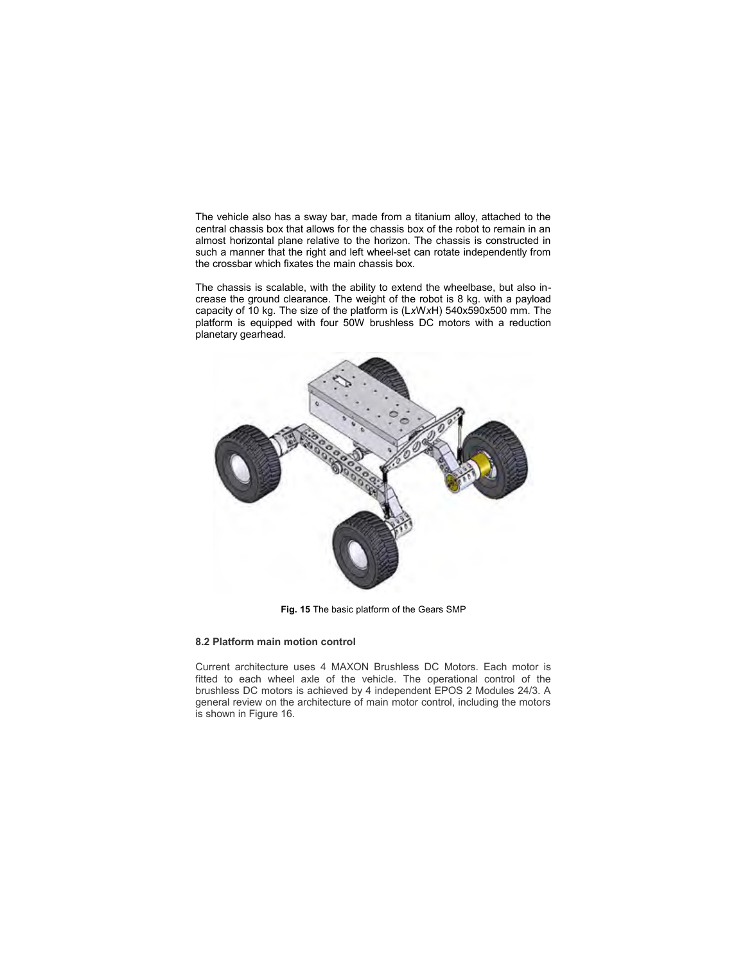The vehicle also has a sway bar, made from a titanium alloy, attached to the central chassis box that allows for the chassis box of the robot to remain in an almost horizontal plane relative to the horizon. The chassis is constructed in such a manner that the right and left wheel-set can rotate independently from the crossbar which fixates the main chassis box.

The chassis is scalable, with the ability to extend the wheelbase, but also increase the ground clearance. The weight of the robot is 8 kg. with a payload capacity of 10 kg. The size of the platform is (L*x*W*x*H) 540x590x500 mm. The platform is equipped with four 50W brushless DC motors with a reduction planetary gearhead.



**Fig. 15** The basic platform of the Gears SMP

# **8.2 Platform main motion control**

Current architecture uses 4 MAXON Brushless DC Motors. Each motor is fitted to each wheel axle of the vehicle. The operational control of the brushless DC motors is achieved by 4 independent EPOS 2 Modules 24/3. A general review on the architecture of main motor control, including the motors is shown in Figure 16.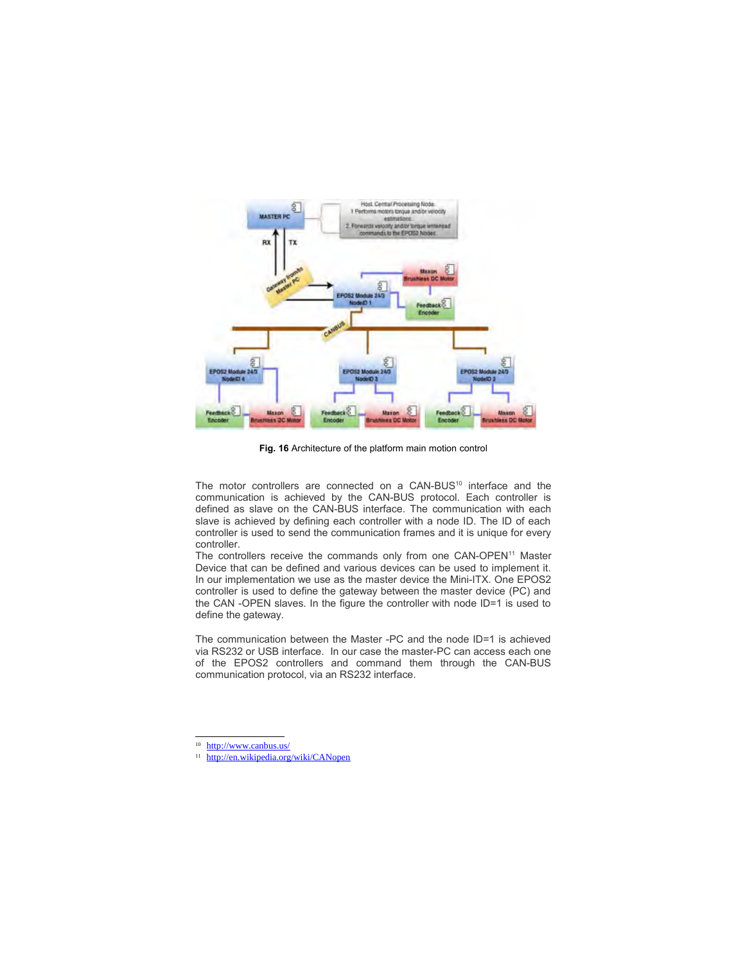

**Fig. 16** Architecture of the platform main motion control

The motor controllers are connected on a CAN-BUS<sup>10</sup> interface and the communication is achieved by the CAN-BUS protocol. Each controller is defined as slave on the CAN-BUS interface. The communication with each slave is achieved by defining each controller with a node ID. The ID of each controller is used to send the communication frames and it is unique for every controller.

The controllers receive the commands only from one CAN-OPEN<sup>11</sup> Master Device that can be defined and various devices can be used to implement it. In our implementation we use as the master device the Mini-ITX. One EPOS2 controller is used to define the gateway between the master device (PC) and the CAN -OPEN slaves. In the figure the controller with node ID=1 is used to define the gateway.

The communication between the Master -PC and the node ID=1 is achieved via RS232 or USB interface. In our case the master-PC can access each one of the EPOS2 controllers and command them through the CAN-BUS communication protocol, via an RS232 interface.

<sup>&</sup>lt;sup>10</sup> http://www.canbus.us/

<sup>11</sup> http://en.wikipedia.org/wiki/CANopen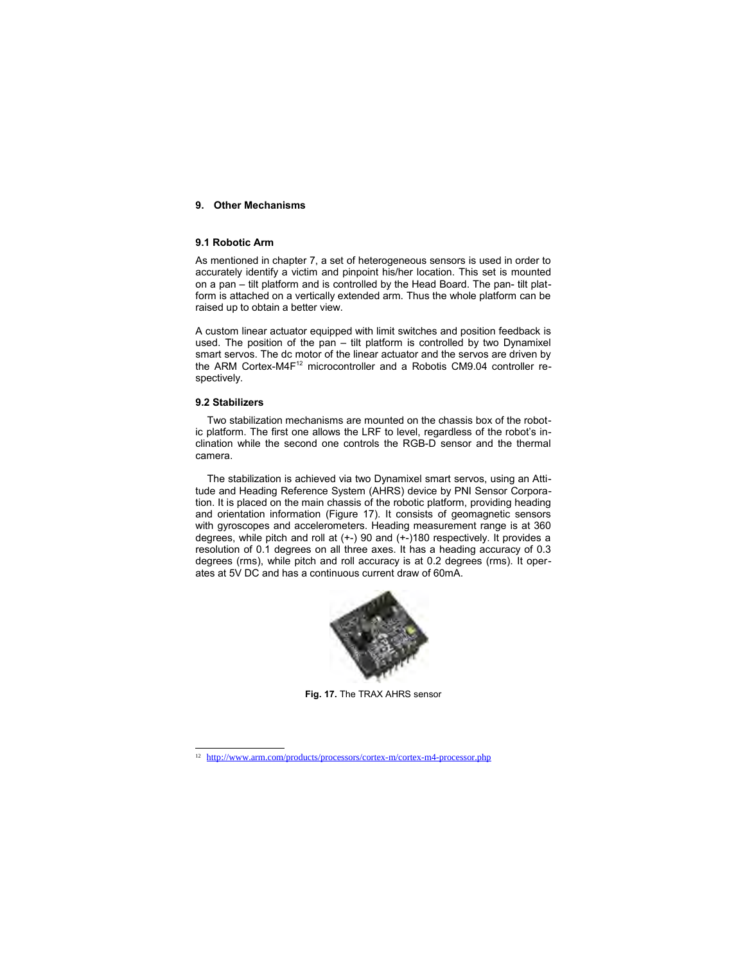### **9. Other Mechanisms**

# **9.1 Robotic Arm**

As mentioned in chapter 7, a set of heterogeneous sensors is used in order to accurately identify a victim and pinpoint his/her location. This set is mounted on a pan – tilt platform and is controlled by the Head Board. The pan- tilt platform is attached on a vertically extended arm. Thus the whole platform can be raised up to obtain a better view.

A custom linear actuator equipped with limit switches and position feedback is used. The position of the pan – tilt platform is controlled by two Dynamixel smart servos. The dc motor of the linear actuator and the servos are driven by the ARM Cortex-M4F<sup>12</sup> microcontroller and a Robotis CM9.04 controller respectively.

### **9.2 Stabilizers**

Two stabilization mechanisms are mounted on the chassis box of the robotic platform. The first one allows the LRF to level, regardless of the robot's inclination while the second one controls the RGB-D sensor and the thermal camera.

The stabilization is achieved via two Dynamixel smart servos, using an Attitude and Heading Reference System (AHRS) device by PNI Sensor Corporation. It is placed on the main chassis of the robotic platform, providing heading and orientation information (Figure 17). It consists of geomagnetic sensors with gyroscopes and accelerometers. Heading measurement range is at 360 degrees, while pitch and roll at (+-) 90 and (+-)180 respectively. It provides a resolution of 0.1 degrees on all three axes. It has a heading accuracy of 0.3 degrees (rms), while pitch and roll accuracy is at 0.2 degrees (rms). It operates at 5V DC and has a continuous current draw of 60mA.



**Fig. 17.** The TRAX AHRS sensor

<sup>&</sup>lt;sup>12</sup> http://www.arm.com/products/processors/cortex-m/cortex-m4-processor.php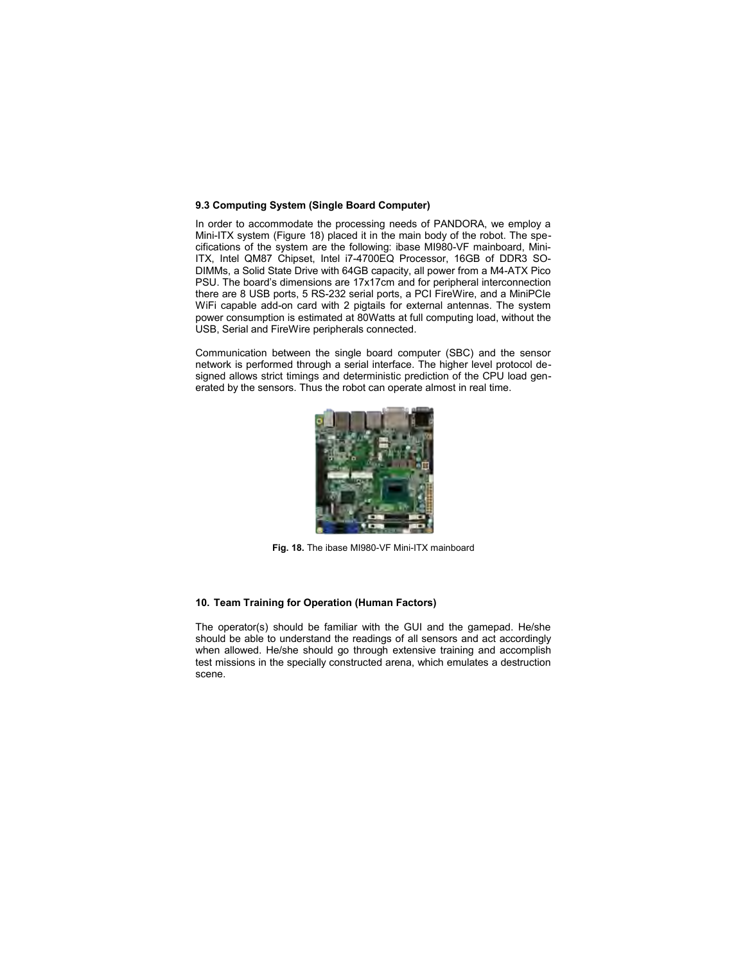#### **9.3 Computing System (Single Board Computer)**

In order to accommodate the processing needs of PANDORA, we employ a Mini-ITX system (Figure 18) placed it in the main body of the robot. The specifications of the system are the following: ibase MI980-VF mainboard, Mini-ITX, Intel QM87 Chipset, Intel i7-4700EQ Processor, 16GB of DDR3 SO-DIMMs, a Solid State Drive with 64GB capacity, all power from a M4-ATX Pico PSU. The board's dimensions are 17x17cm and for peripheral interconnection there are 8 USB ports, 5 RS-232 serial ports, a PCI FireWire, and a MiniPCIe WiFi capable add-on card with 2 pigtails for external antennas. The system power consumption is estimated at 80Watts at full computing load, without the USB, Serial and FireWire peripherals connected.

Communication between the single board computer (SBC) and the sensor network is performed through a serial interface. The higher level protocol designed allows strict timings and deterministic prediction of the CPU load generated by the sensors. Thus the robot can operate almost in real time.



**Fig. 18.** The ibase MI980-VF Mini-ITX mainboard

# **10. Team Training for Operation (Human Factors)**

The operator(s) should be familiar with the GUI and the gamepad. He/she should be able to understand the readings of all sensors and act accordingly when allowed. He/she should go through extensive training and accomplish test missions in the specially constructed arena, which emulates a destruction scene.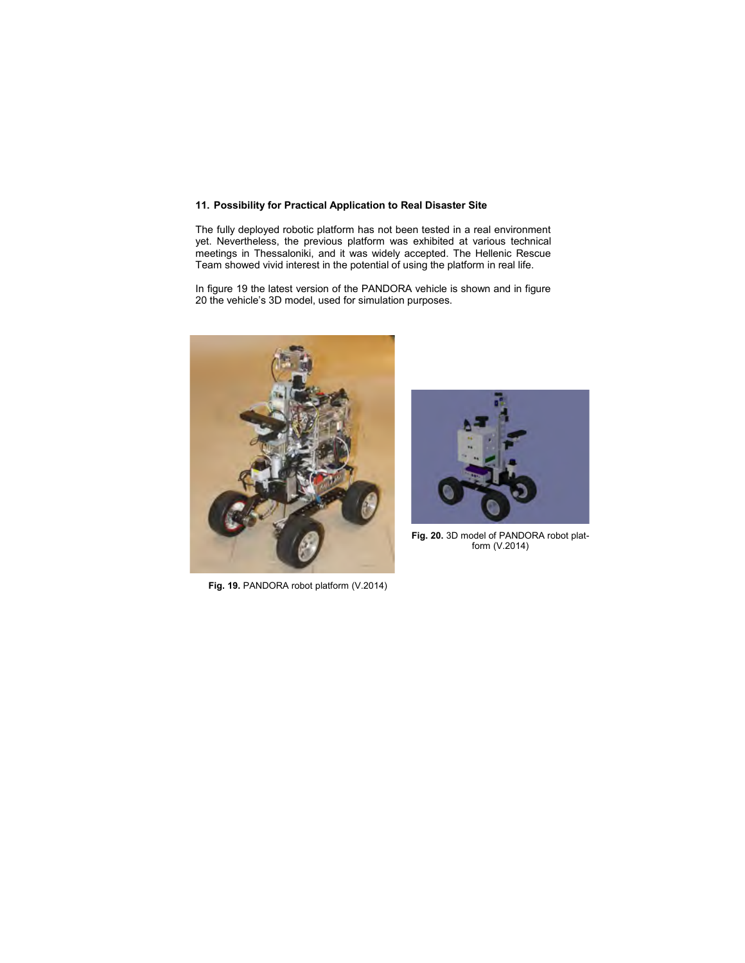# **11. Possibility for Practical Application to Real Disaster Site**

The fully deployed robotic platform has not been tested in a real environment yet. Nevertheless, the previous platform was exhibited at various technical meetings in Thessaloniki, and it was widely accepted. The Hellenic Rescue Team showed vivid interest in the potential of using the platform in real life.

In figure 19 the latest version of the PANDORA vehicle is shown and in figure 20 the vehicle's 3D model, used for simulation purposes.



**Fig. 19.** PANDORA robot platform (V.2014)



Fig. 20. 3D model of PANDORA robot platform (V.2014)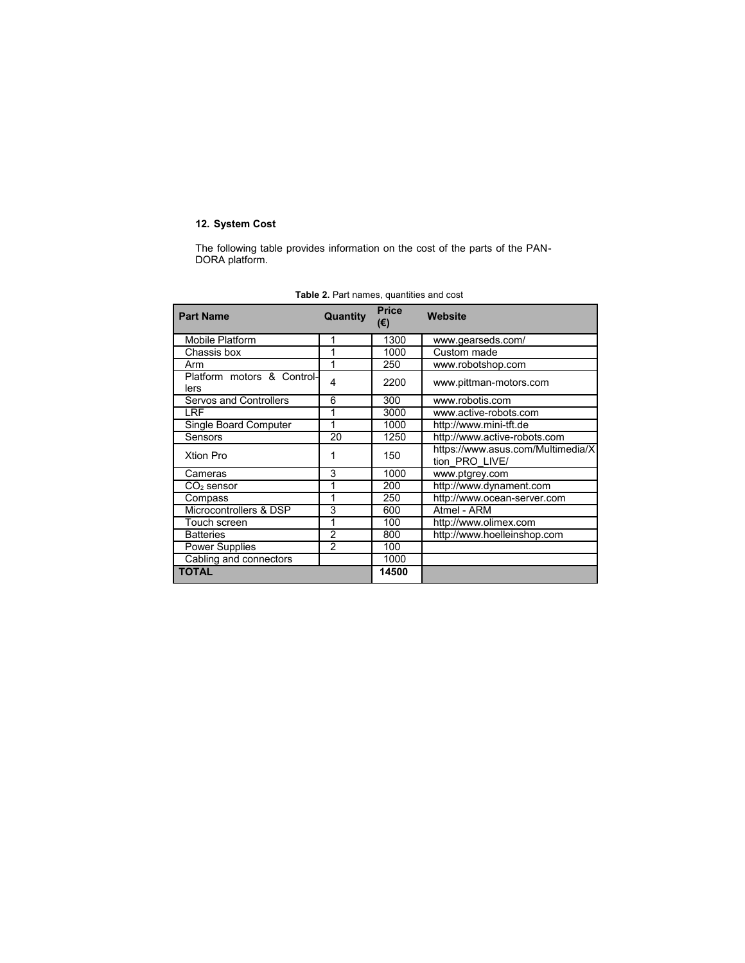# **12. System Cost**

The following table provides information on the cost of the parts of the PAN-DORA platform.

| <b>Part Name</b>                   | Quantity | <b>Price</b><br>(€) | Website                                             |
|------------------------------------|----------|---------------------|-----------------------------------------------------|
| Mobile Platform                    | 1        | 1300                | www.gearseds.com/                                   |
| Chassis box                        | 1        | 1000                | Custom made                                         |
| Arm                                | 1        | 250                 | www.robotshop.com                                   |
| Platform motors & Control-<br>lers | 4        | 2200                | www.pittman-motors.com                              |
| Servos and Controllers             | 6        | 300                 | www.robotis.com                                     |
| LRF                                | 1        | 3000                | www.active-robots.com                               |
| Single Board Computer              | 1        | 1000                | http://www.mini-tft.de                              |
| Sensors                            | 20       | 1250                | http://www.active-robots.com                        |
| <b>Xtion Pro</b>                   |          | 150                 | https://www.asus.com/Multimedia/X<br>tion PRO LIVE/ |
| Cameras                            | 3        | 1000                | www.ptgrey.com                                      |
| $\mathsf{CO}_2$ sensor             |          | 200                 | http://www.dynament.com                             |
| Compass                            | 1        | 250                 | http://www.ocean-server.com                         |
| Microcontrollers & DSP             | 3        | 600                 | Atmel - ARM                                         |
| Touch screen                       | 1        | 100                 | http://www.olimex.com                               |
| <b>Batteries</b>                   | 2        | 800                 | http://www.hoelleinshop.com                         |
| <b>Power Supplies</b>              | 2        | 100                 |                                                     |
| Cabling and connectors             |          | 1000                |                                                     |
| <b>TOTAL</b>                       |          | 14500               |                                                     |

**Table 2.** Part names, quantities and cost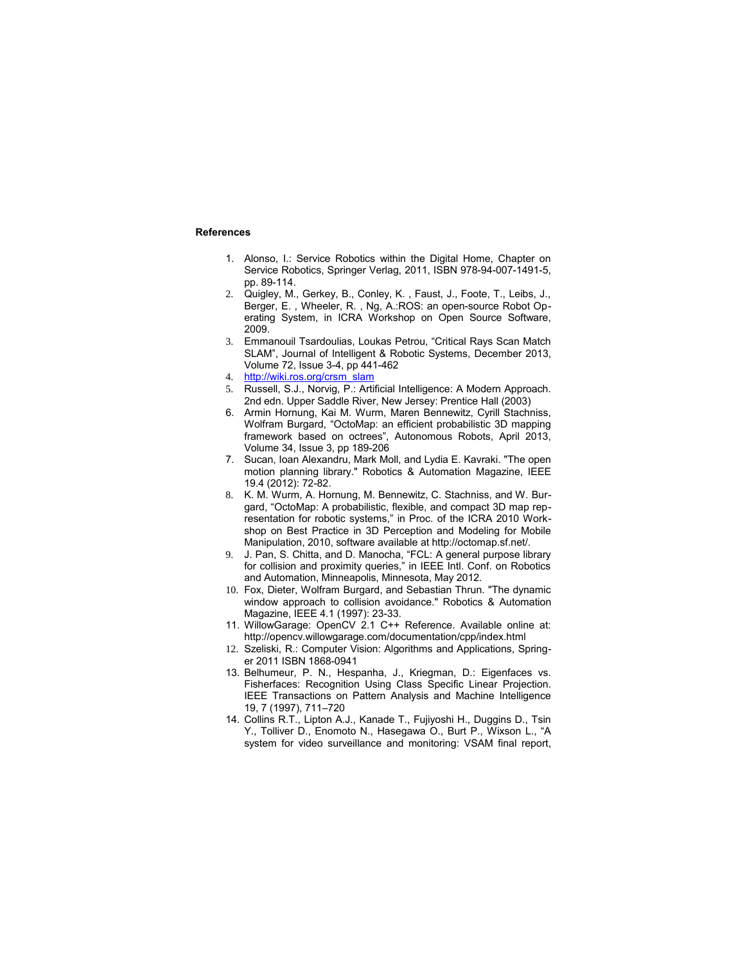# **References**

- 1. Alonso, I.: Service Robotics within the Digital Home, Chapter on Service Robotics, Springer Verlag, 2011, ISBN 978-94-007-1491-5, pp. 89-114.
- 2. Quigley, M., Gerkey, B., Conley, K. , Faust, J., Foote, T., Leibs, J., Berger, E. , Wheeler, R. , Ng, A.:ROS: an open-source Robot Operating System, in ICRA Workshop on Open Source Software, 2009.
- 3. Emmanouil Tsardoulias, Loukas Petrou, "Critical Rays Scan Match SLAM", Journal of Intelligent & Robotic Systems, December 2013, Volume 72, Issue 3-4, pp 441-462
- 4. http://wiki.ros.org/crsm\_slam
- 5. Russell, S.J., Norvig, P.: Artificial Intelligence: A Modern Approach. 2nd edn. Upper Saddle River, New Jersey: Prentice Hall (2003)
- 6. Armin Hornung, Kai M. Wurm, Maren Bennewitz, Cyrill Stachniss, Wolfram Burgard, "OctoMap: an efficient probabilistic 3D mapping framework based on octrees", Autonomous Robots, April 2013, Volume 34, Issue 3, pp 189-206
- 7. Sucan, Ioan Alexandru, Mark Moll, and Lydia E. Kavraki. "The open motion planning library." Robotics & Automation Magazine, IEEE 19.4 (2012): 72-82.
- 8. K. M. Wurm, A. Hornung, M. Bennewitz, C. Stachniss, and W. Burgard, "OctoMap: A probabilistic, flexible, and compact 3D map representation for robotic systems," in Proc. of the ICRA 2010 Workshop on Best Practice in 3D Perception and Modeling for Mobile Manipulation, 2010, software available at http://octomap.sf.net/.
- 9. J. Pan, S. Chitta, and D. Manocha, "FCL: A general purpose library for collision and proximity queries," in IEEE Intl. Conf. on Robotics and Automation, Minneapolis, Minnesota, May 2012.
- 10. Fox, Dieter, Wolfram Burgard, and Sebastian Thrun. "The dynamic window approach to collision avoidance." Robotics & Automation Magazine, IEEE 4.1 (1997): 23-33.
- 11. WillowGarage: OpenCV 2.1 C++ Reference. Available online at: http://opencv.willowgarage.com/documentation/cpp/index.html
- 12. Szeliski, R.: Computer Vision: Algorithms and Applications, Springer 2011 ISBN 1868-0941
- 13. Belhumeur, P. N., Hespanha, J., Kriegman, D.: Eigenfaces vs. Fisherfaces: Recognition Using Class Specific Linear Projection. IEEE Transactions on Pattern Analysis and Machine Intelligence 19, 7 (1997), 711–720
- 14. Collins R.T., Lipton A.J., Kanade T., Fujiyoshi H., Duggins D., Tsin Y., Tolliver D., Enomoto N., Hasegawa O., Burt P., Wixson L., "A system for video surveillance and monitoring: VSAM final report,